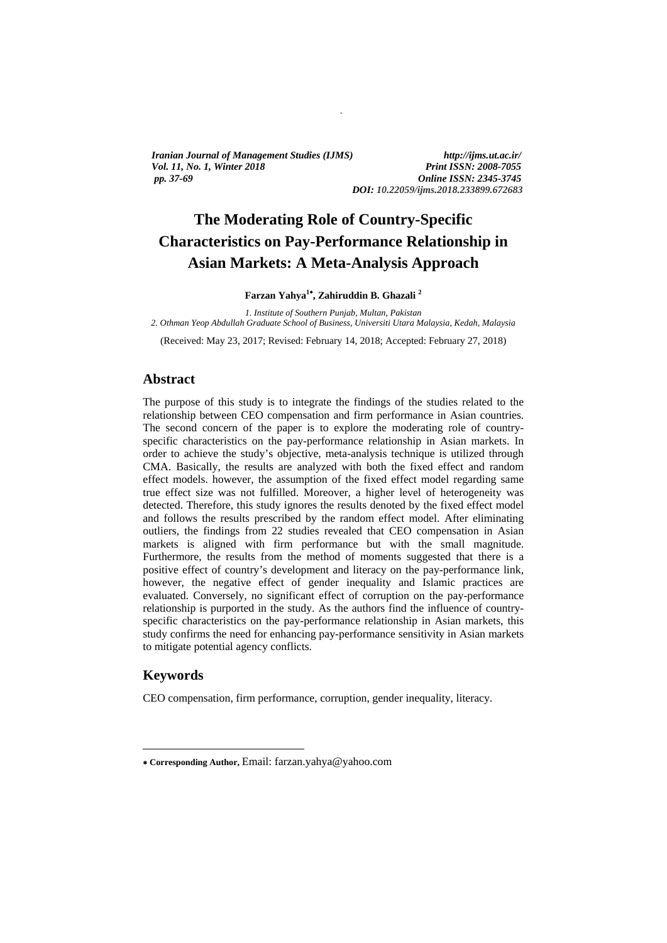*Iranian Journal of Management Studies (IJMS) http://ijms.ut.ac.ir/ Vol. 11, No. 1, Winter 2018 Print ISSN: 2008-7055 pp. 37-69 Online ISSN: 2345-3745* 

*DOI: 10.22059/ijms.2018.233899.672683*

# **The Moderating Role of Country-Specific Characteristics on Pay-Performance Relationship in Asian Markets: A Meta-Analysis Approach**

`

**Farzan Yahya1 , Zahiruddin B. Ghazali <sup>2</sup>**

*1. Institute of Southern Punjab, Multan, Pakistan 2. Othman Yeop Abdullah Graduate School of Business, Universiti Utara Malaysia, Kedah, Malaysia* 

(Received: May 23, 2017; Revised: February 14, 2018; Accepted: February 27, 2018)

#### **Abstract**

The purpose of this study is to integrate the findings of the studies related to the relationship between CEO compensation and firm performance in Asian countries. The second concern of the paper is to explore the moderating role of countryspecific characteristics on the pay-performance relationship in Asian markets. In order to achieve the study's objective, meta-analysis technique is utilized through CMA. Basically, the results are analyzed with both the fixed effect and random effect models. however, the assumption of the fixed effect model regarding same true effect size was not fulfilled. Moreover, a higher level of heterogeneity was detected. Therefore, this study ignores the results denoted by the fixed effect model and follows the results prescribed by the random effect model. After eliminating outliers, the findings from 22 studies revealed that CEO compensation in Asian markets is aligned with firm performance but with the small magnitude. Furthermore, the results from the method of moments suggested that there is a positive effect of country's development and literacy on the pay-performance link, however, the negative effect of gender inequality and Islamic practices are evaluated. Conversely, no significant effect of corruption on the pay-performance relationship is purported in the study. As the authors find the influence of countryspecific characteristics on the pay-performance relationship in Asian markets, this study confirms the need for enhancing pay-performance sensitivity in Asian markets to mitigate potential agency conflicts.

#### **Keywords**

 $\overline{a}$ 

CEO compensation, firm performance, corruption, gender inequality, literacy.

**Corresponding Author,** Email: farzan.yahya@yahoo.com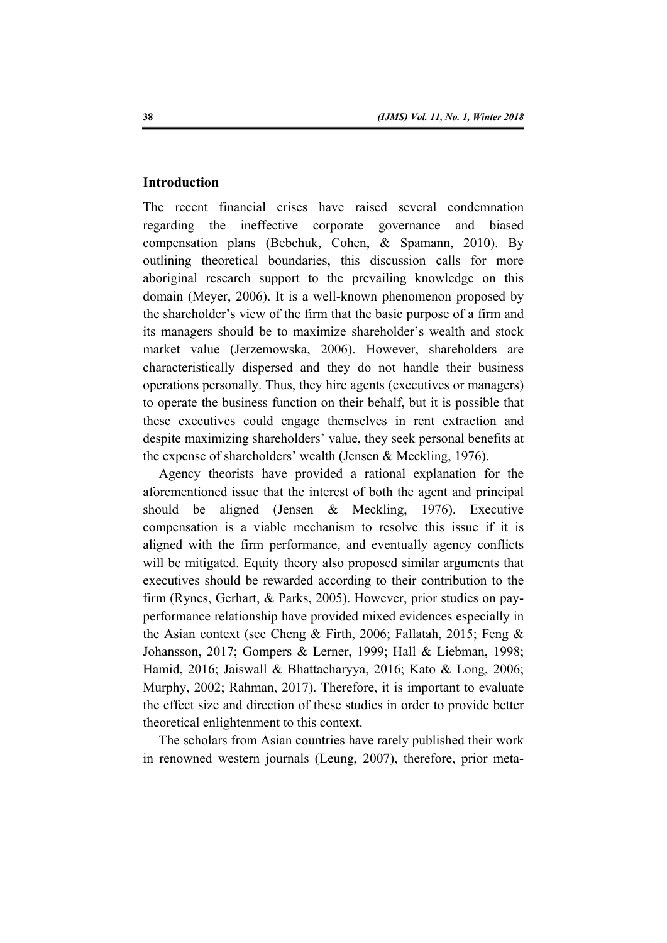# **Introduction**

The recent financial crises have raised several condemnation regarding the ineffective corporate governance and biased compensation plans (Bebchuk, Cohen, & Spamann, 2010). By outlining theoretical boundaries, this discussion calls for more aboriginal research support to the prevailing knowledge on this domain (Meyer, 2006). It is a well-known phenomenon proposed by the shareholder's view of the firm that the basic purpose of a firm and its managers should be to maximize shareholder's wealth and stock market value (Jerzemowska, 2006). However, shareholders are characteristically dispersed and they do not handle their business operations personally. Thus, they hire agents (executives or managers) to operate the business function on their behalf, but it is possible that these executives could engage themselves in rent extraction and despite maximizing shareholders' value, they seek personal benefits at the expense of shareholders' wealth (Jensen & Meckling, 1976).

Agency theorists have provided a rational explanation for the aforementioned issue that the interest of both the agent and principal should be aligned (Jensen & Meckling, 1976). Executive compensation is a viable mechanism to resolve this issue if it is aligned with the firm performance, and eventually agency conflicts will be mitigated. Equity theory also proposed similar arguments that executives should be rewarded according to their contribution to the firm (Rynes, Gerhart, & Parks, 2005). However, prior studies on payperformance relationship have provided mixed evidences especially in the Asian context (see Cheng & Firth, 2006; Fallatah, 2015; Feng & Johansson, 2017; Gompers & Lerner, 1999; Hall & Liebman, 1998; Hamid, 2016; Jaiswall & Bhattacharyya, 2016; Kato & Long, 2006; Murphy, 2002; Rahman, 2017). Therefore, it is important to evaluate the effect size and direction of these studies in order to provide better theoretical enlightenment to this context.

The scholars from Asian countries have rarely published their work in renowned western journals (Leung, 2007), therefore, prior meta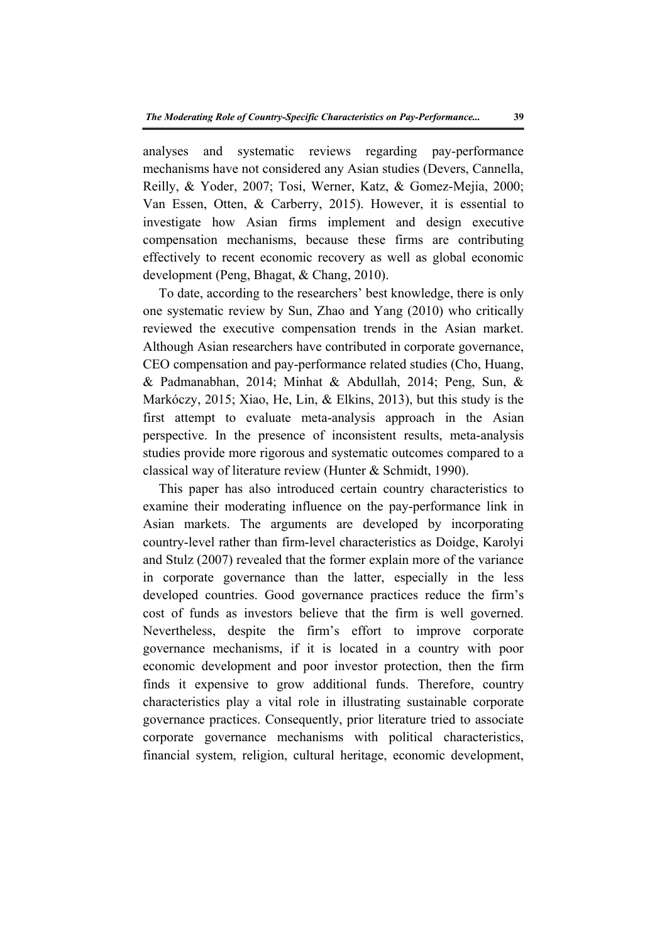analyses and systematic reviews regarding pay-performance mechanisms have not considered any Asian studies (Devers, Cannella, Reilly, & Yoder, 2007; Tosi, Werner, Katz, & Gomez-Mejia, 2000; Van Essen, Otten, & Carberry, 2015). However, it is essential to investigate how Asian firms implement and design executive compensation mechanisms, because these firms are contributing effectively to recent economic recovery as well as global economic development (Peng, Bhagat, & Chang, 2010).

To date, according to the researchers' best knowledge, there is only one systematic review by Sun, Zhao and Yang (2010) who critically reviewed the executive compensation trends in the Asian market. Although Asian researchers have contributed in corporate governance, CEO compensation and pay-performance related studies (Cho, Huang, & Padmanabhan, 2014; Minhat & Abdullah, 2014; Peng, Sun, & Markόczy, 2015; Xiao, He, Lin, & Elkins, 2013), but this study is the first attempt to evaluate meta-analysis approach in the Asian perspective. In the presence of inconsistent results, meta-analysis studies provide more rigorous and systematic outcomes compared to a classical way of literature review (Hunter & Schmidt, 1990).

This paper has also introduced certain country characteristics to examine their moderating influence on the pay-performance link in Asian markets. The arguments are developed by incorporating country-level rather than firm-level characteristics as Doidge, Karolyi and Stulz (2007) revealed that the former explain more of the variance in corporate governance than the latter, especially in the less developed countries. Good governance practices reduce the firm's cost of funds as investors believe that the firm is well governed. Nevertheless, despite the firm's effort to improve corporate governance mechanisms, if it is located in a country with poor economic development and poor investor protection, then the firm finds it expensive to grow additional funds. Therefore, country characteristics play a vital role in illustrating sustainable corporate governance practices. Consequently, prior literature tried to associate corporate governance mechanisms with political characteristics, financial system, religion, cultural heritage, economic development,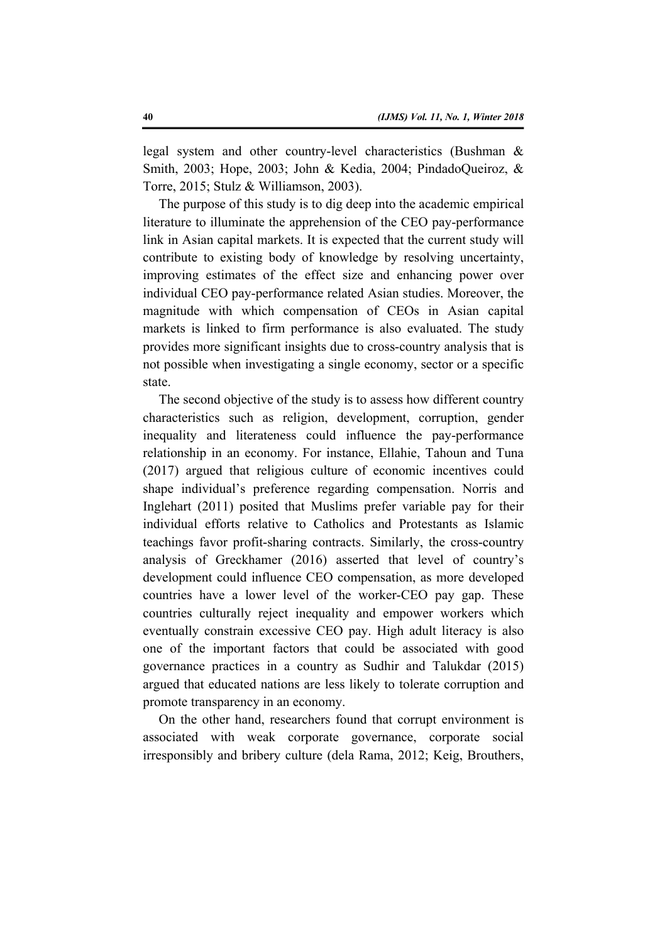legal system and other country-level characteristics (Bushman & Smith, 2003; Hope, 2003; John & Kedia, 2004; PindadoQueiroz, & Torre, 2015; Stulz & Williamson, 2003).

The purpose of this study is to dig deep into the academic empirical literature to illuminate the apprehension of the CEO pay-performance link in Asian capital markets. It is expected that the current study will contribute to existing body of knowledge by resolving uncertainty, improving estimates of the effect size and enhancing power over individual CEO pay-performance related Asian studies. Moreover, the magnitude with which compensation of CEOs in Asian capital markets is linked to firm performance is also evaluated. The study provides more significant insights due to cross-country analysis that is not possible when investigating a single economy, sector or a specific state.

The second objective of the study is to assess how different country characteristics such as religion, development, corruption, gender inequality and literateness could influence the pay-performance relationship in an economy. For instance, Ellahie, Tahoun and Tuna (2017) argued that religious culture of economic incentives could shape individual's preference regarding compensation. Norris and Inglehart (2011) posited that Muslims prefer variable pay for their individual efforts relative to Catholics and Protestants as Islamic teachings favor profit-sharing contracts. Similarly, the cross-country analysis of Greckhamer (2016) asserted that level of country's development could influence CEO compensation, as more developed countries have a lower level of the worker-CEO pay gap. These countries culturally reject inequality and empower workers which eventually constrain excessive CEO pay. High adult literacy is also one of the important factors that could be associated with good governance practices in a country as Sudhir and Talukdar (2015) argued that educated nations are less likely to tolerate corruption and promote transparency in an economy.

On the other hand, researchers found that corrupt environment is associated with weak corporate governance, corporate social irresponsibly and bribery culture (dela Rama, 2012; Keig, Brouthers,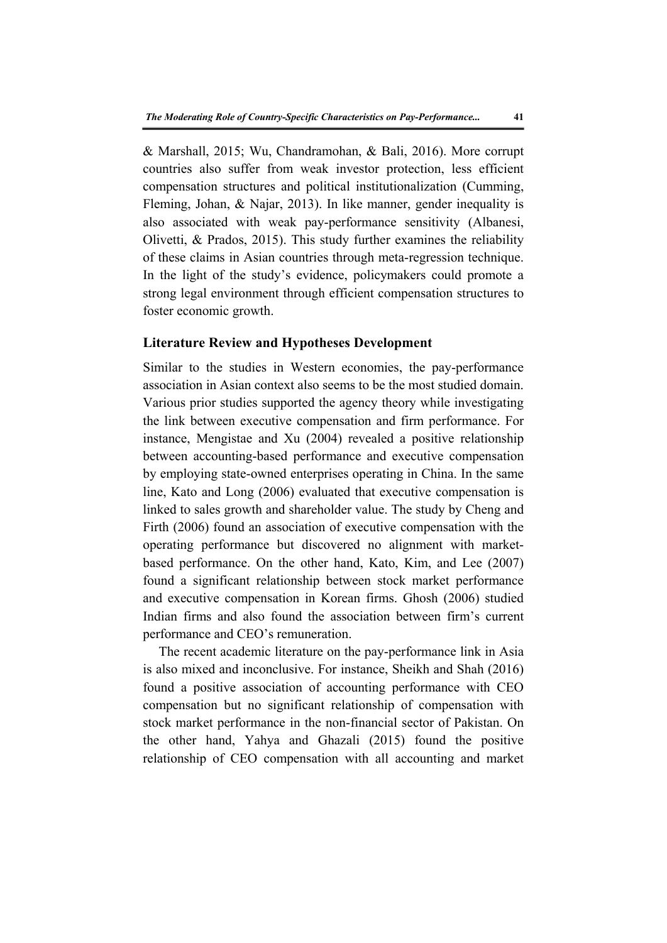& Marshall, 2015; Wu, Chandramohan, & Bali, 2016). More corrupt countries also suffer from weak investor protection, less efficient compensation structures and political institutionalization (Cumming, Fleming, Johan, & Najar, 2013). In like manner, gender inequality is also associated with weak pay-performance sensitivity (Albanesi, Olivetti, & Prados, 2015). This study further examines the reliability of these claims in Asian countries through meta-regression technique. In the light of the study's evidence, policymakers could promote a strong legal environment through efficient compensation structures to foster economic growth.

#### **Literature Review and Hypotheses Development**

Similar to the studies in Western economies, the pay-performance association in Asian context also seems to be the most studied domain. Various prior studies supported the agency theory while investigating the link between executive compensation and firm performance. For instance, Mengistae and Xu (2004) revealed a positive relationship between accounting-based performance and executive compensation by employing state-owned enterprises operating in China. In the same line, Kato and Long (2006) evaluated that executive compensation is linked to sales growth and shareholder value. The study by Cheng and Firth (2006) found an association of executive compensation with the operating performance but discovered no alignment with marketbased performance. On the other hand, Kato, Kim, and Lee (2007) found a significant relationship between stock market performance and executive compensation in Korean firms. Ghosh (2006) studied Indian firms and also found the association between firm's current performance and CEO's remuneration.

The recent academic literature on the pay-performance link in Asia is also mixed and inconclusive. For instance, Sheikh and Shah (2016) found a positive association of accounting performance with CEO compensation but no significant relationship of compensation with stock market performance in the non-financial sector of Pakistan. On the other hand, Yahya and Ghazali (2015) found the positive relationship of CEO compensation with all accounting and market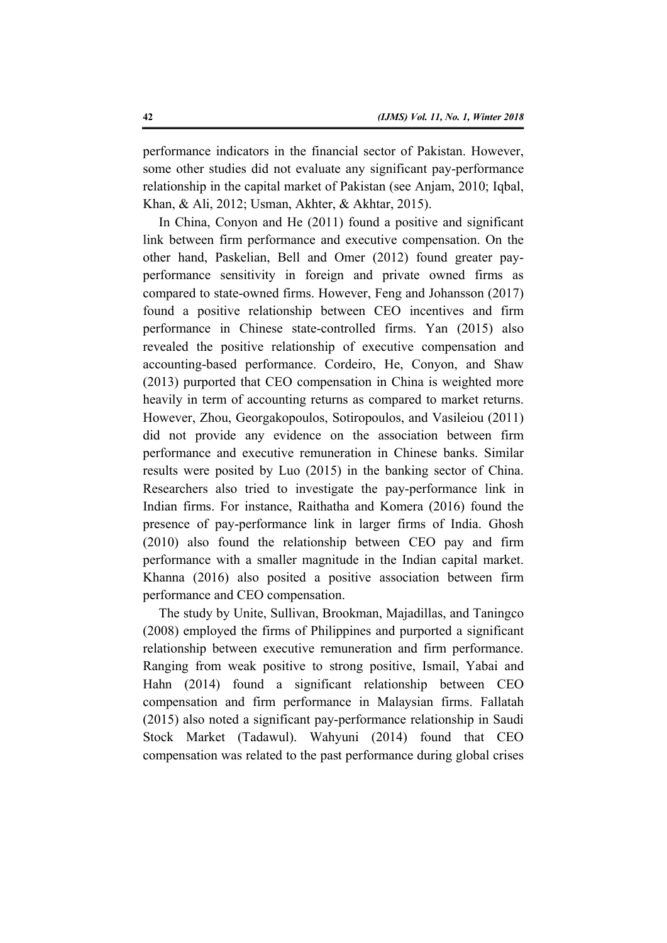performance indicators in the financial sector of Pakistan. However, some other studies did not evaluate any significant pay-performance relationship in the capital market of Pakistan (see Anjam, 2010; Iqbal, Khan, & Ali, 2012; Usman, Akhter, & Akhtar, 2015).

In China, Conyon and He (2011) found a positive and significant link between firm performance and executive compensation. On the other hand, Paskelian, Bell and Omer (2012) found greater payperformance sensitivity in foreign and private owned firms as compared to state-owned firms. However, Feng and Johansson (2017) found a positive relationship between CEO incentives and firm performance in Chinese state-controlled firms. Yan (2015) also revealed the positive relationship of executive compensation and accounting-based performance. Cordeiro, He, Conyon, and Shaw (2013) purported that CEO compensation in China is weighted more heavily in term of accounting returns as compared to market returns. However, Zhou, Georgakopoulos, Sotiropoulos, and Vasileiou (2011) did not provide any evidence on the association between firm performance and executive remuneration in Chinese banks. Similar results were posited by Luo (2015) in the banking sector of China. Researchers also tried to investigate the pay-performance link in Indian firms. For instance, Raithatha and Komera (2016) found the presence of pay-performance link in larger firms of India. Ghosh (2010) also found the relationship between CEO pay and firm performance with a smaller magnitude in the Indian capital market. Khanna (2016) also posited a positive association between firm performance and CEO compensation.

The study by Unite, Sullivan, Brookman, Majadillas, and Taningco (2008) employed the firms of Philippines and purported a significant relationship between executive remuneration and firm performance. Ranging from weak positive to strong positive, Ismail, Yabai and Hahn (2014) found a significant relationship between CEO compensation and firm performance in Malaysian firms. Fallatah (2015) also noted a significant pay-performance relationship in Saudi Stock Market (Tadawul). Wahyuni (2014) found that CEO compensation was related to the past performance during global crises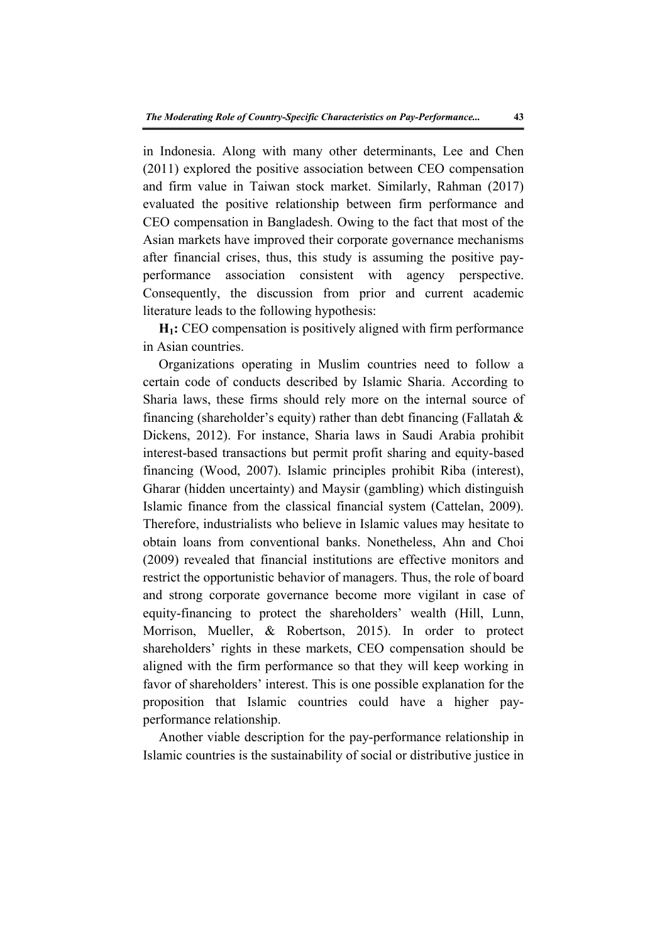in Indonesia. Along with many other determinants, Lee and Chen (2011) explored the positive association between CEO compensation and firm value in Taiwan stock market. Similarly, Rahman (2017) evaluated the positive relationship between firm performance and CEO compensation in Bangladesh. Owing to the fact that most of the Asian markets have improved their corporate governance mechanisms after financial crises, thus, this study is assuming the positive payperformance association consistent with agency perspective. Consequently, the discussion from prior and current academic literature leads to the following hypothesis:

**H1:** CEO compensation is positively aligned with firm performance in Asian countries.

Organizations operating in Muslim countries need to follow a certain code of conducts described by Islamic Sharia. According to Sharia laws, these firms should rely more on the internal source of financing (shareholder's equity) rather than debt financing (Fallatah  $\&$ Dickens, 2012). For instance, Sharia laws in Saudi Arabia prohibit interest-based transactions but permit profit sharing and equity-based financing (Wood, 2007). Islamic principles prohibit Riba (interest), Gharar (hidden uncertainty) and Maysir (gambling) which distinguish Islamic finance from the classical financial system (Cattelan, 2009). Therefore, industrialists who believe in Islamic values may hesitate to obtain loans from conventional banks. Nonetheless, Ahn and Choi (2009) revealed that financial institutions are effective monitors and restrict the opportunistic behavior of managers. Thus, the role of board and strong corporate governance become more vigilant in case of equity-financing to protect the shareholders' wealth (Hill, Lunn, Morrison, Mueller, & Robertson, 2015). In order to protect shareholders' rights in these markets, CEO compensation should be aligned with the firm performance so that they will keep working in favor of shareholders' interest. This is one possible explanation for the proposition that Islamic countries could have a higher payperformance relationship.

Another viable description for the pay-performance relationship in Islamic countries is the sustainability of social or distributive justice in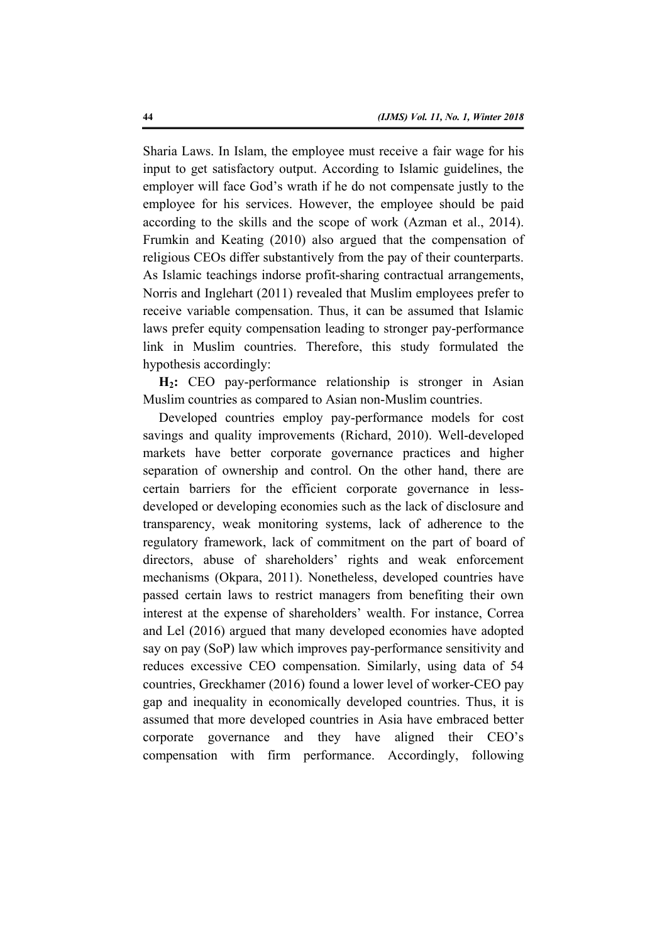Sharia Laws. In Islam, the employee must receive a fair wage for his input to get satisfactory output. According to Islamic guidelines, the employer will face God's wrath if he do not compensate justly to the employee for his services. However, the employee should be paid according to the skills and the scope of work (Azman et al., 2014). Frumkin and Keating (2010) also argued that the compensation of religious CEOs differ substantively from the pay of their counterparts. As Islamic teachings indorse profit-sharing contractual arrangements, Norris and Inglehart (2011) revealed that Muslim employees prefer to receive variable compensation. Thus, it can be assumed that Islamic laws prefer equity compensation leading to stronger pay-performance link in Muslim countries. Therefore, this study formulated the hypothesis accordingly:

**H2:** CEO pay-performance relationship is stronger in Asian Muslim countries as compared to Asian non-Muslim countries.

Developed countries employ pay-performance models for cost savings and quality improvements (Richard, 2010). Well-developed markets have better corporate governance practices and higher separation of ownership and control. On the other hand, there are certain barriers for the efficient corporate governance in lessdeveloped or developing economies such as the lack of disclosure and transparency, weak monitoring systems, lack of adherence to the regulatory framework, lack of commitment on the part of board of directors, abuse of shareholders' rights and weak enforcement mechanisms (Okpara, 2011). Nonetheless, developed countries have passed certain laws to restrict managers from benefiting their own interest at the expense of shareholders' wealth. For instance, Correa and Lel (2016) argued that many developed economies have adopted say on pay (SoP) law which improves pay-performance sensitivity and reduces excessive CEO compensation. Similarly, using data of 54 countries, Greckhamer (2016) found a lower level of worker-CEO pay gap and inequality in economically developed countries. Thus, it is assumed that more developed countries in Asia have embraced better corporate governance and they have aligned their CEO's compensation with firm performance. Accordingly, following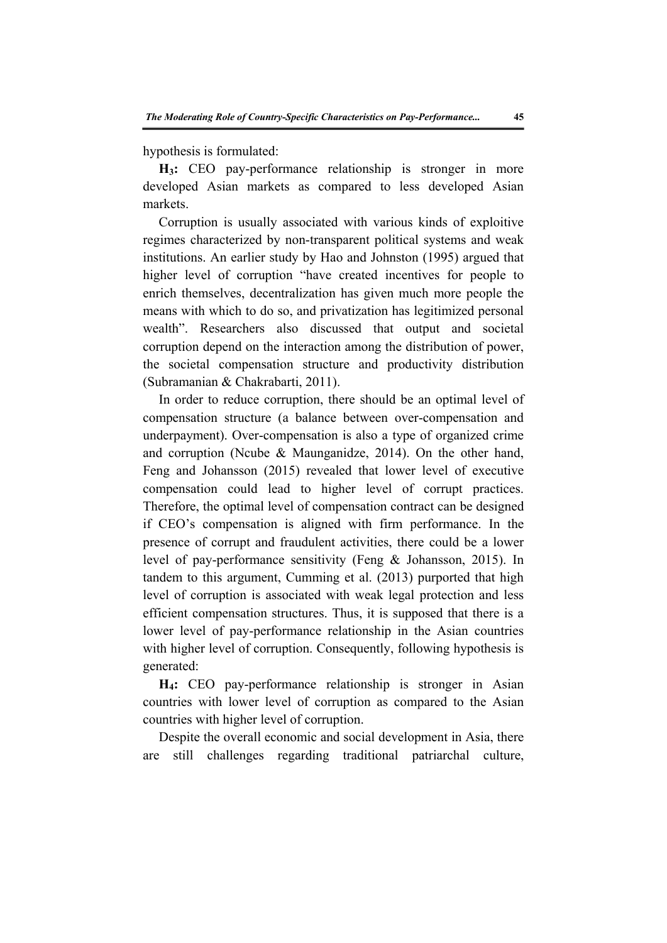hypothesis is formulated:

**H3:** CEO pay-performance relationship is stronger in more developed Asian markets as compared to less developed Asian markets.

Corruption is usually associated with various kinds of exploitive regimes characterized by non-transparent political systems and weak institutions. An earlier study by Hao and Johnston (1995) argued that higher level of corruption "have created incentives for people to enrich themselves, decentralization has given much more people the means with which to do so, and privatization has legitimized personal wealth". Researchers also discussed that output and societal corruption depend on the interaction among the distribution of power, the societal compensation structure and productivity distribution (Subramanian & Chakrabarti, 2011).

In order to reduce corruption, there should be an optimal level of compensation structure (a balance between over-compensation and underpayment). Over-compensation is also a type of organized crime and corruption (Ncube & Maunganidze, 2014). On the other hand, Feng and Johansson (2015) revealed that lower level of executive compensation could lead to higher level of corrupt practices. Therefore, the optimal level of compensation contract can be designed if CEO's compensation is aligned with firm performance. In the presence of corrupt and fraudulent activities, there could be a lower level of pay-performance sensitivity (Feng & Johansson, 2015). In tandem to this argument, Cumming et al. (2013) purported that high level of corruption is associated with weak legal protection and less efficient compensation structures. Thus, it is supposed that there is a lower level of pay-performance relationship in the Asian countries with higher level of corruption. Consequently, following hypothesis is generated:

**H4:** CEO pay-performance relationship is stronger in Asian countries with lower level of corruption as compared to the Asian countries with higher level of corruption.

Despite the overall economic and social development in Asia, there are still challenges regarding traditional patriarchal culture,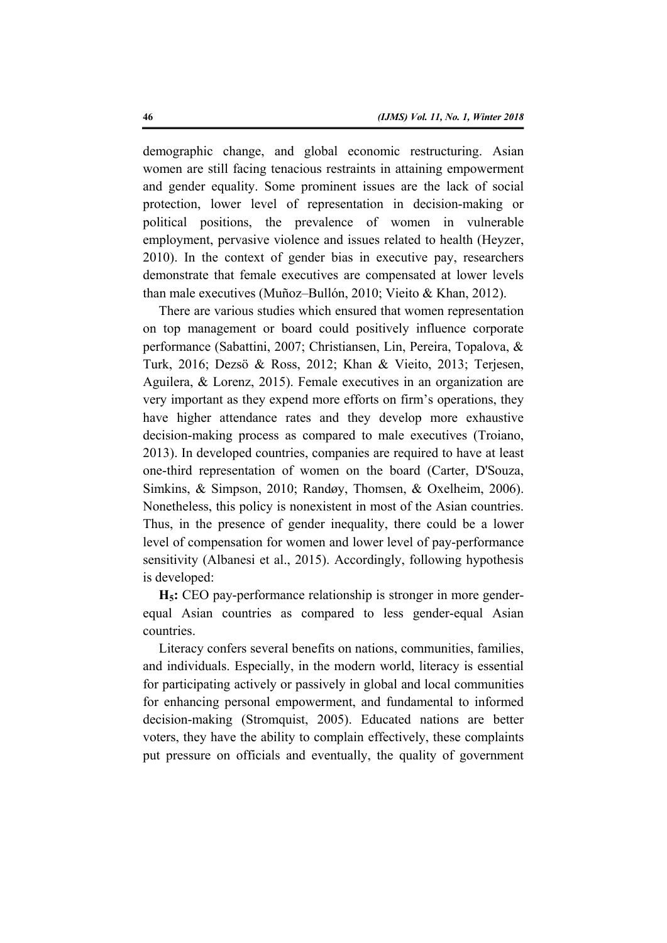demographic change, and global economic restructuring. Asian women are still facing tenacious restraints in attaining empowerment and gender equality. Some prominent issues are the lack of social protection, lower level of representation in decision-making or political positions, the prevalence of women in vulnerable employment, pervasive violence and issues related to health (Heyzer, 2010). In the context of gender bias in executive pay, researchers demonstrate that female executives are compensated at lower levels than male executives (Muñoz–Bullón, 2010; Vieito & Khan, 2012).

There are various studies which ensured that women representation on top management or board could positively influence corporate performance (Sabattini, 2007; Christiansen, Lin, Pereira, Topalova, & Turk, 2016; Dezsö & Ross, 2012; Khan & Vieito, 2013; Terjesen, Aguilera, & Lorenz, 2015). Female executives in an organization are very important as they expend more efforts on firm's operations, they have higher attendance rates and they develop more exhaustive decision-making process as compared to male executives (Troiano, 2013). In developed countries, companies are required to have at least one-third representation of women on the board (Carter, D'Souza, Simkins, & Simpson, 2010; Randøy, Thomsen, & Oxelheim, 2006). Nonetheless, this policy is nonexistent in most of the Asian countries. Thus, in the presence of gender inequality, there could be a lower level of compensation for women and lower level of pay-performance sensitivity (Albanesi et al., 2015). Accordingly, following hypothesis is developed:

**H5:** CEO pay-performance relationship is stronger in more genderequal Asian countries as compared to less gender-equal Asian countries.

Literacy confers several benefits on nations, communities, families, and individuals. Especially, in the modern world, literacy is essential for participating actively or passively in global and local communities for enhancing personal empowerment, and fundamental to informed decision-making (Stromquist, 2005). Educated nations are better voters, they have the ability to complain effectively, these complaints put pressure on officials and eventually, the quality of government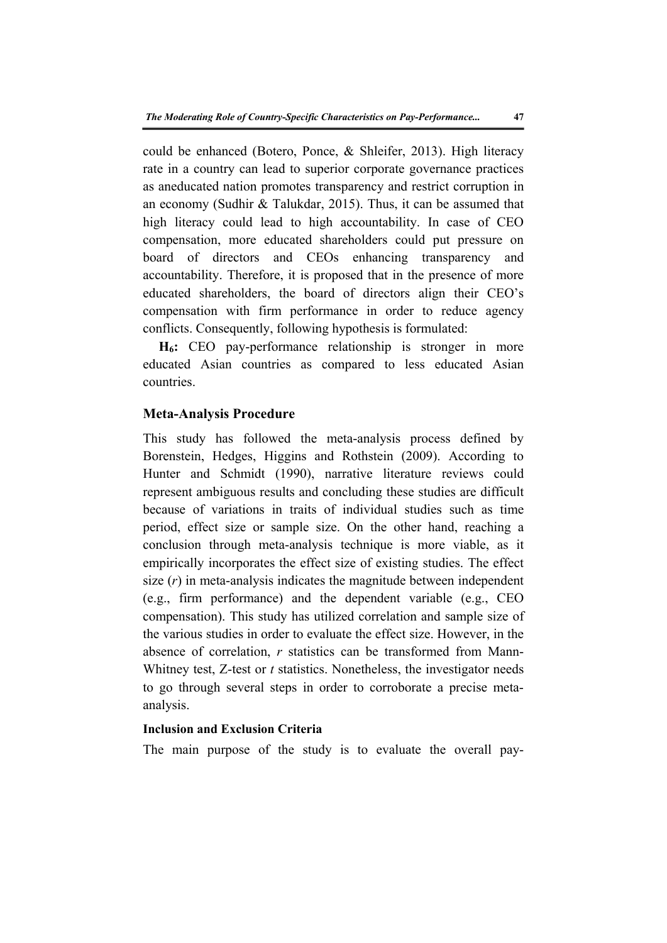could be enhanced (Botero, Ponce, & Shleifer, 2013). High literacy rate in a country can lead to superior corporate governance practices as aneducated nation promotes transparency and restrict corruption in an economy (Sudhir & Talukdar, 2015). Thus, it can be assumed that high literacy could lead to high accountability. In case of CEO compensation, more educated shareholders could put pressure on board of directors and CEOs enhancing transparency and accountability. Therefore, it is proposed that in the presence of more educated shareholders, the board of directors align their CEO's compensation with firm performance in order to reduce agency conflicts. Consequently, following hypothesis is formulated:

**H6:** CEO pay-performance relationship is stronger in more educated Asian countries as compared to less educated Asian countries.

## **Meta-Analysis Procedure**

This study has followed the meta-analysis process defined by Borenstein, Hedges, Higgins and Rothstein (2009). According to Hunter and Schmidt (1990), narrative literature reviews could represent ambiguous results and concluding these studies are difficult because of variations in traits of individual studies such as time period, effect size or sample size. On the other hand, reaching a conclusion through meta-analysis technique is more viable, as it empirically incorporates the effect size of existing studies. The effect size (*r*) in meta-analysis indicates the magnitude between independent (e.g., firm performance) and the dependent variable (e.g., CEO compensation). This study has utilized correlation and sample size of the various studies in order to evaluate the effect size. However, in the absence of correlation, *r* statistics can be transformed from Mann-Whitney test, Z-test or *t* statistics. Nonetheless, the investigator needs to go through several steps in order to corroborate a precise metaanalysis.

# **Inclusion and Exclusion Criteria**

The main purpose of the study is to evaluate the overall pay-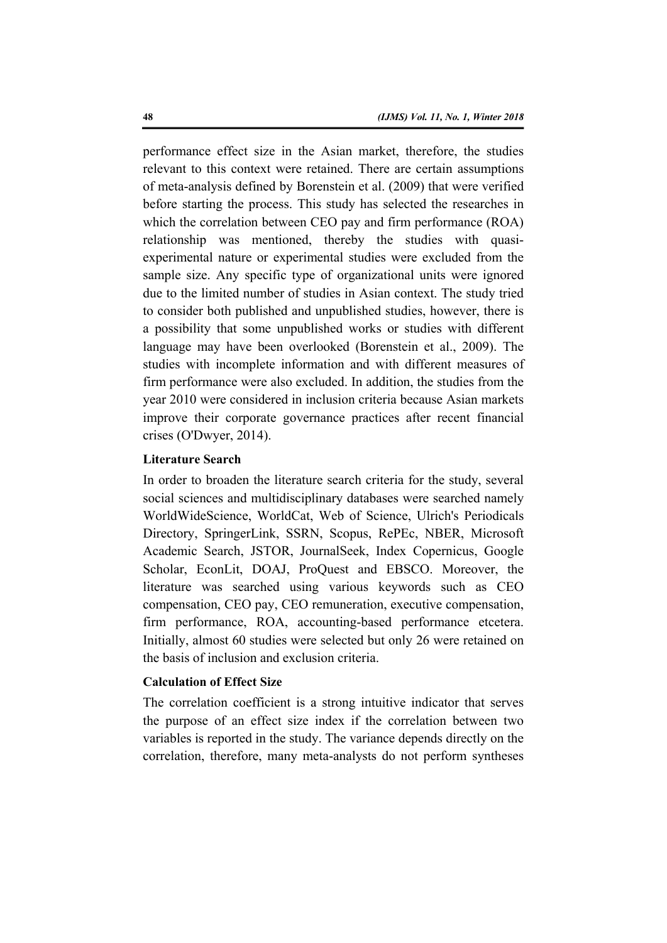performance effect size in the Asian market, therefore, the studies relevant to this context were retained. There are certain assumptions of meta-analysis defined by Borenstein et al. (2009) that were verified before starting the process. This study has selected the researches in which the correlation between CEO pay and firm performance (ROA) relationship was mentioned, thereby the studies with quasiexperimental nature or experimental studies were excluded from the sample size. Any specific type of organizational units were ignored due to the limited number of studies in Asian context. The study tried to consider both published and unpublished studies, however, there is a possibility that some unpublished works or studies with different language may have been overlooked (Borenstein et al., 2009). The studies with incomplete information and with different measures of firm performance were also excluded. In addition, the studies from the year 2010 were considered in inclusion criteria because Asian markets improve their corporate governance practices after recent financial crises (O'Dwyer, 2014).

## **Literature Search**

In order to broaden the literature search criteria for the study, several social sciences and multidisciplinary databases were searched namely WorldWideScience, WorldCat, Web of Science, Ulrich's Periodicals Directory, SpringerLink, SSRN, Scopus, RePEc, NBER, Microsoft Academic Search, JSTOR, JournalSeek, Index Copernicus, Google Scholar, EconLit, DOAJ, ProQuest and EBSCO. Moreover, the literature was searched using various keywords such as CEO compensation, CEO pay, CEO remuneration, executive compensation, firm performance, ROA, accounting-based performance etcetera. Initially, almost 60 studies were selected but only 26 were retained on the basis of inclusion and exclusion criteria.

## **Calculation of Effect Size**

The correlation coefficient is a strong intuitive indicator that serves the purpose of an effect size index if the correlation between two variables is reported in the study. The variance depends directly on the correlation, therefore, many meta-analysts do not perform syntheses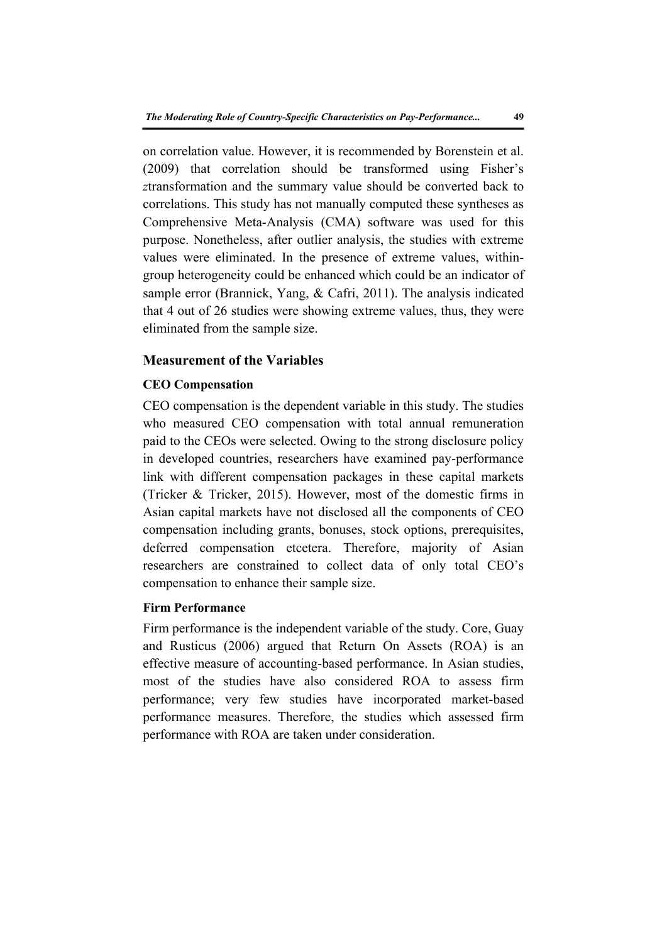on correlation value. However, it is recommended by Borenstein et al. (2009) that correlation should be transformed using Fisher's *z*transformation and the summary value should be converted back to correlations. This study has not manually computed these syntheses as Comprehensive Meta-Analysis (CMA) software was used for this purpose. Nonetheless, after outlier analysis, the studies with extreme values were eliminated. In the presence of extreme values, withingroup heterogeneity could be enhanced which could be an indicator of sample error (Brannick, Yang, & Cafri, 2011). The analysis indicated that 4 out of 26 studies were showing extreme values, thus, they were eliminated from the sample size.

# **Measurement of the Variables**

#### **CEO Compensation**

CEO compensation is the dependent variable in this study. The studies who measured CEO compensation with total annual remuneration paid to the CEOs were selected. Owing to the strong disclosure policy in developed countries, researchers have examined pay-performance link with different compensation packages in these capital markets (Tricker & Tricker, 2015). However, most of the domestic firms in Asian capital markets have not disclosed all the components of CEO compensation including grants, bonuses, stock options, prerequisites, deferred compensation etcetera. Therefore, majority of Asian researchers are constrained to collect data of only total CEO's compensation to enhance their sample size.

## **Firm Performance**

Firm performance is the independent variable of the study. Core, Guay and Rusticus (2006) argued that Return On Assets (ROA) is an effective measure of accounting-based performance. In Asian studies, most of the studies have also considered ROA to assess firm performance; very few studies have incorporated market-based performance measures. Therefore, the studies which assessed firm performance with ROA are taken under consideration.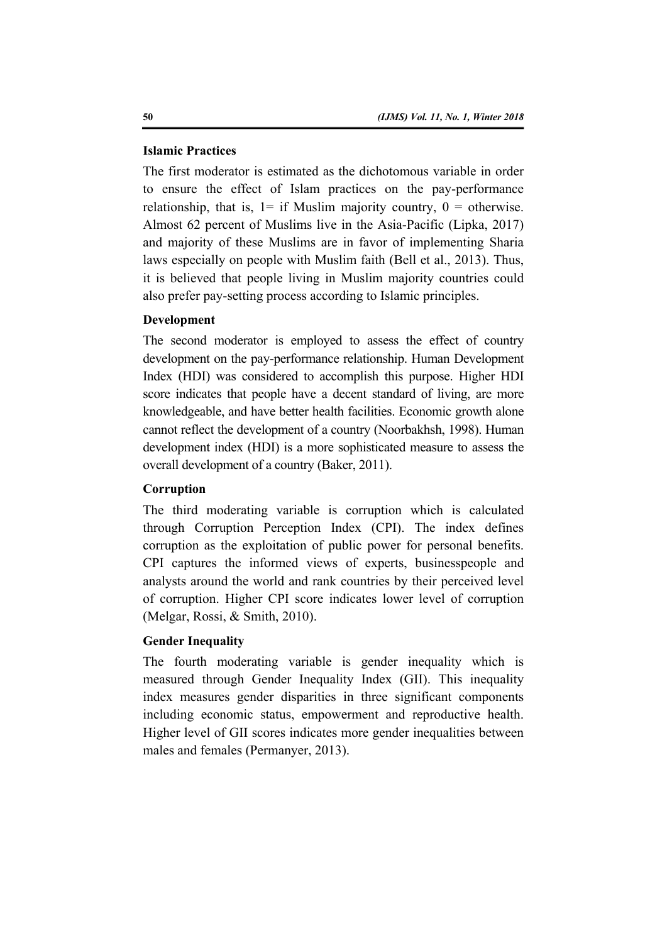## **Islamic Practices**

The first moderator is estimated as the dichotomous variable in order to ensure the effect of Islam practices on the pay-performance relationship, that is,  $1=$  if Muslim majority country,  $0=$  otherwise. Almost 62 percent of Muslims live in the Asia-Pacific (Lipka, 2017) and majority of these Muslims are in favor of implementing Sharia laws especially on people with Muslim faith (Bell et al., 2013). Thus, it is believed that people living in Muslim majority countries could also prefer pay-setting process according to Islamic principles.

## **Development**

The second moderator is employed to assess the effect of country development on the pay-performance relationship. Human Development Index (HDI) was considered to accomplish this purpose. Higher HDI score indicates that people have a decent standard of living, are more knowledgeable, and have better health facilities. Economic growth alone cannot reflect the development of a country (Noorbakhsh, 1998). Human development index (HDI) is a more sophisticated measure to assess the overall development of a country (Baker, 2011).

# **Corruption**

The third moderating variable is corruption which is calculated through Corruption Perception Index (CPI). The index defines corruption as the exploitation of public power for personal benefits. CPI captures the informed views of experts, businesspeople and analysts around the world and rank countries by their perceived level of corruption. Higher CPI score indicates lower level of corruption (Melgar, Rossi, & Smith, 2010).

#### **Gender Inequality**

The fourth moderating variable is gender inequality which is measured through Gender Inequality Index (GII). This inequality index measures gender disparities in three significant components including economic status, empowerment and reproductive health. Higher level of GII scores indicates more gender inequalities between males and females (Permanyer, 2013).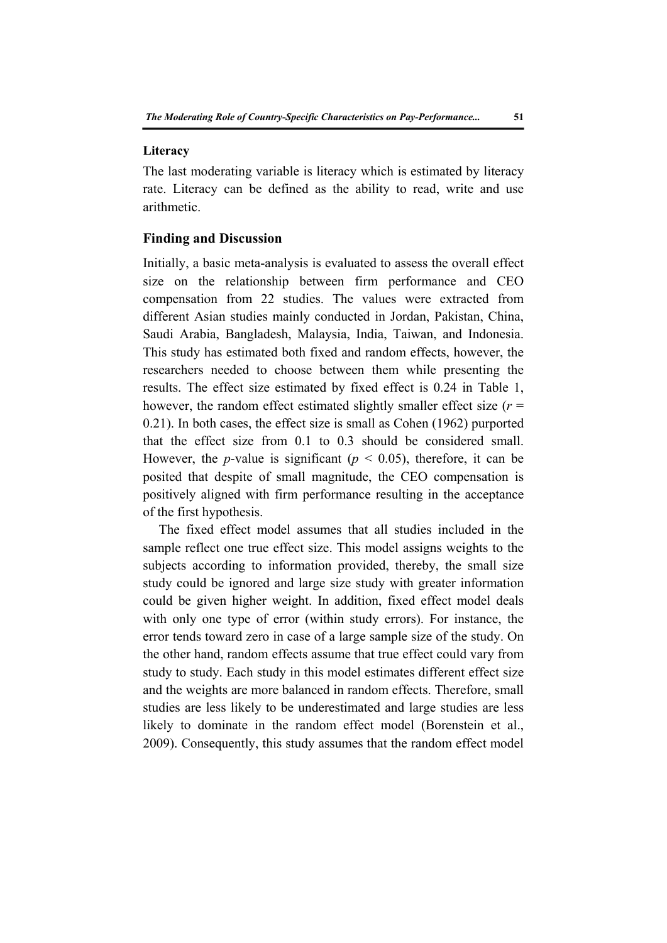#### **Literacy**

The last moderating variable is literacy which is estimated by literacy rate. Literacy can be defined as the ability to read, write and use arithmetic.

## **Finding and Discussion**

Initially, a basic meta-analysis is evaluated to assess the overall effect size on the relationship between firm performance and CEO compensation from 22 studies. The values were extracted from different Asian studies mainly conducted in Jordan, Pakistan, China, Saudi Arabia, Bangladesh, Malaysia, India, Taiwan, and Indonesia. This study has estimated both fixed and random effects, however, the researchers needed to choose between them while presenting the results. The effect size estimated by fixed effect is 0.24 in Table 1, however, the random effect estimated slightly smaller effect size (*r* = 0.21). In both cases, the effect size is small as Cohen (1962) purported that the effect size from 0.1 to 0.3 should be considered small. However, the *p*-value is significant ( $p < 0.05$ ), therefore, it can be posited that despite of small magnitude, the CEO compensation is positively aligned with firm performance resulting in the acceptance of the first hypothesis.

The fixed effect model assumes that all studies included in the sample reflect one true effect size. This model assigns weights to the subjects according to information provided, thereby, the small size study could be ignored and large size study with greater information could be given higher weight. In addition, fixed effect model deals with only one type of error (within study errors). For instance, the error tends toward zero in case of a large sample size of the study. On the other hand, random effects assume that true effect could vary from study to study. Each study in this model estimates different effect size and the weights are more balanced in random effects. Therefore, small studies are less likely to be underestimated and large studies are less likely to dominate in the random effect model (Borenstein et al., 2009). Consequently, this study assumes that the random effect model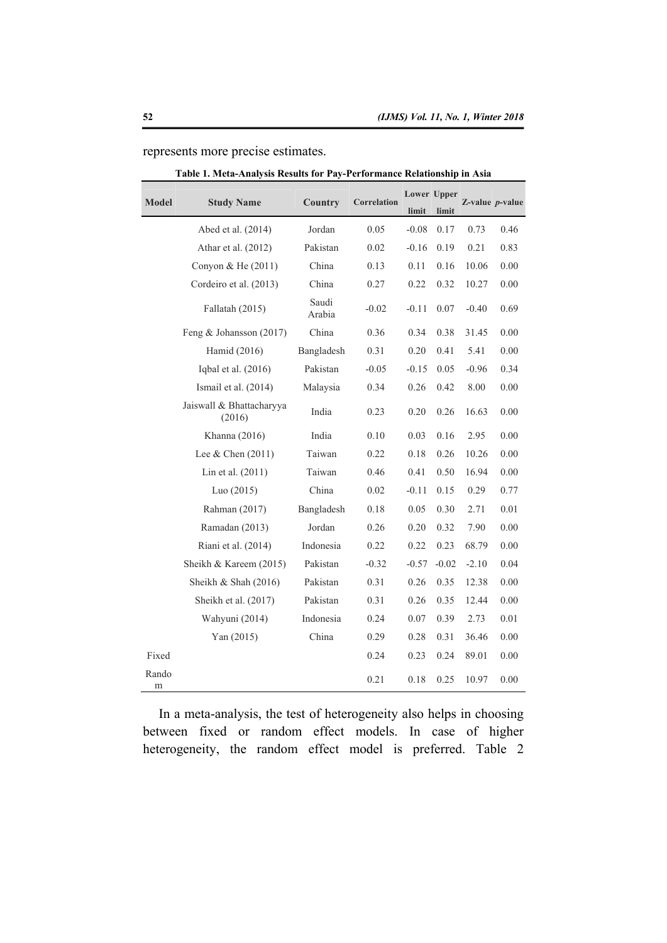| <b>Model</b> | <b>Study Name</b>                  | Country         | Correlation | limit   | Lower Upper<br>limit | $Z$ -value $p$ -value |      |
|--------------|------------------------------------|-----------------|-------------|---------|----------------------|-----------------------|------|
|              | Abed et al. (2014)                 | Jordan          | 0.05        | $-0.08$ | 0.17                 | 0.73                  | 0.46 |
|              | Athar et al. (2012)                | Pakistan        | 0.02        | $-0.16$ | 0.19                 | 0.21                  | 0.83 |
|              | Convon & He (2011)                 | China           | 0.13        | 0.11    | 0.16                 | 10.06                 | 0.00 |
|              | Cordeiro et al. (2013)             | China           | 0.27        | 0.22    | 0.32                 | 10.27                 | 0.00 |
|              | Fallatah (2015)                    | Saudi<br>Arabia | $-0.02$     | $-0.11$ | 0.07                 | $-0.40$               | 0.69 |
|              | Feng & Johansson $(2017)$          | China           | 0.36        | 0.34    | 0.38                 | 31.45                 | 0.00 |
|              | Hamid (2016)                       | Bangladesh      | 0.31        | 0.20    | 0.41                 | 5.41                  | 0.00 |
|              | Iqbal et al. (2016)                | Pakistan        | $-0.05$     | $-0.15$ | 0.05                 | $-0.96$               | 0.34 |
|              | Ismail et al. (2014)               | Malaysia        | 0.34        | 0.26    | 0.42                 | 8.00                  | 0.00 |
|              | Jaiswall & Bhattacharyya<br>(2016) | India           | 0.23        | 0.20    | 0.26                 | 16.63                 | 0.00 |
|              | Khanna (2016)                      | India           | 0.10        | 0.03    | 0.16                 | 2.95                  | 0.00 |
|              | Lee & Chen $(2011)$                | Taiwan          | 0.22        | 0.18    | 0.26                 | 10.26                 | 0.00 |
|              | Lin et al. $(2011)$                | Taiwan          | 0.46        | 0.41    | 0.50                 | 16.94                 | 0.00 |
|              | Luo $(2015)$                       | China           | 0.02        | $-0.11$ | 0.15                 | 0.29                  | 0.77 |
|              | Rahman (2017)                      | Bangladesh      | 0.18        | 0.05    | 0.30                 | 2.71                  | 0.01 |
|              | Ramadan (2013)                     | Jordan          | 0.26        | 0.20    | 0.32                 | 7.90                  | 0.00 |
|              | Riani et al. (2014)                | Indonesia       | 0.22        | 0.22    | 0.23                 | 68.79                 | 0.00 |
|              | Sheikh & Kareem (2015)             | Pakistan        | $-0.32$     | $-0.57$ | $-0.02$              | $-2.10$               | 0.04 |
|              | Sheikh & Shah $(2016)$             | Pakistan        | 0.31        | 0.26    | 0.35                 | 12.38                 | 0.00 |
|              | Sheikh et al. (2017)               | Pakistan        | 0.31        | 0.26    | 0.35                 | 12.44                 | 0.00 |
|              | Wahyuni (2014)                     | Indonesia       | 0.24        | 0.07    | 0.39                 | 2.73                  | 0.01 |
|              | Yan $(2015)$                       | China           | 0.29        | 0.28    | 0.31                 | 36.46                 | 0.00 |
| Fixed        |                                    |                 | 0.24        | 0.23    | 0.24                 | 89.01                 | 0.00 |
| Rando<br>m   |                                    |                 | 0.21        | 0.18    | 0.25                 | 10.97                 | 0.00 |

represents more precise estimates.

| Table 1. Meta-Analysis Results for Pay-Performance Relationship in Asia |  |  |
|-------------------------------------------------------------------------|--|--|
|                                                                         |  |  |

In a meta-analysis, the test of heterogeneity also helps in choosing between fixed or random effect models. In case of higher heterogeneity, the random effect model is preferred. Table 2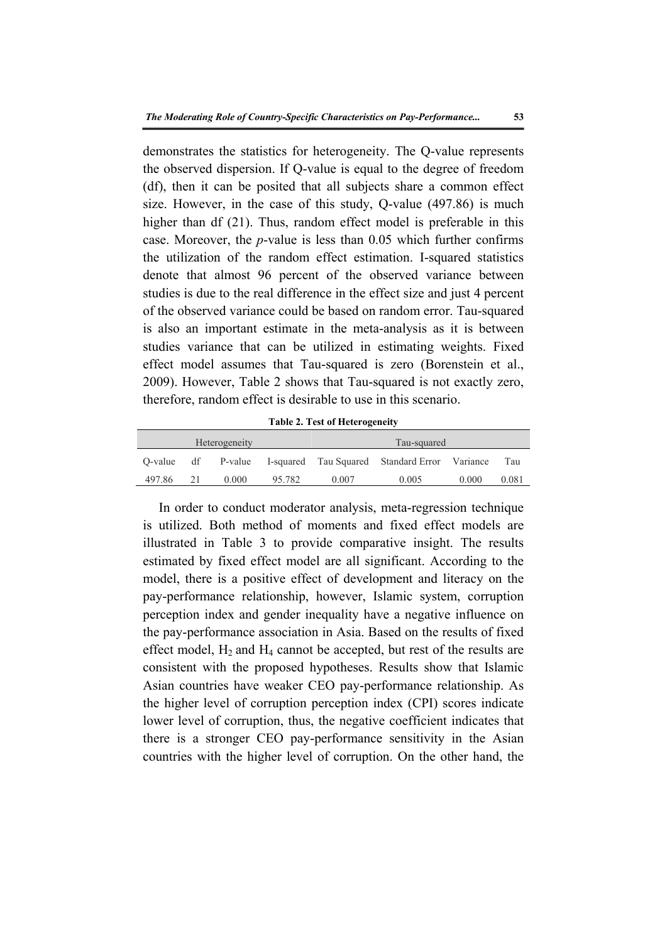demonstrates the statistics for heterogeneity. The Q-value represents the observed dispersion. If Q-value is equal to the degree of freedom (df), then it can be posited that all subjects share a common effect size. However, in the case of this study, Q-value (497.86) is much higher than df (21). Thus, random effect model is preferable in this case. Moreover, the *p*-value is less than 0.05 which further confirms the utilization of the random effect estimation. I-squared statistics denote that almost 96 percent of the observed variance between studies is due to the real difference in the effect size and just 4 percent of the observed variance could be based on random error. Tau-squared is also an important estimate in the meta-analysis as it is between studies variance that can be utilized in estimating weights. Fixed effect model assumes that Tau-squared is zero (Borenstein et al., 2009). However, Table 2 shows that Tau-squared is not exactly zero, therefore, random effect is desirable to use in this scenario.

**Table 2. Test of Heterogeneity** 

| Heterogeneity |    |       |        |       | Tau-squared                                           |       |       |
|---------------|----|-------|--------|-------|-------------------------------------------------------|-------|-------|
| O-value       | df |       |        |       | P-value I-squared Tau Squared Standard Error Variance |       | Tau   |
| 497.86        | 21 | 0.000 | 95.782 | 0.007 | 0.005                                                 | 0.000 | 0.081 |

In order to conduct moderator analysis, meta-regression technique is utilized. Both method of moments and fixed effect models are illustrated in Table 3 to provide comparative insight. The results estimated by fixed effect model are all significant. According to the model, there is a positive effect of development and literacy on the pay-performance relationship, however, Islamic system, corruption perception index and gender inequality have a negative influence on the pay-performance association in Asia. Based on the results of fixed effect model,  $H_2$  and  $H_4$  cannot be accepted, but rest of the results are consistent with the proposed hypotheses. Results show that Islamic Asian countries have weaker CEO pay-performance relationship. As the higher level of corruption perception index (CPI) scores indicate lower level of corruption, thus, the negative coefficient indicates that there is a stronger CEO pay-performance sensitivity in the Asian countries with the higher level of corruption. On the other hand, the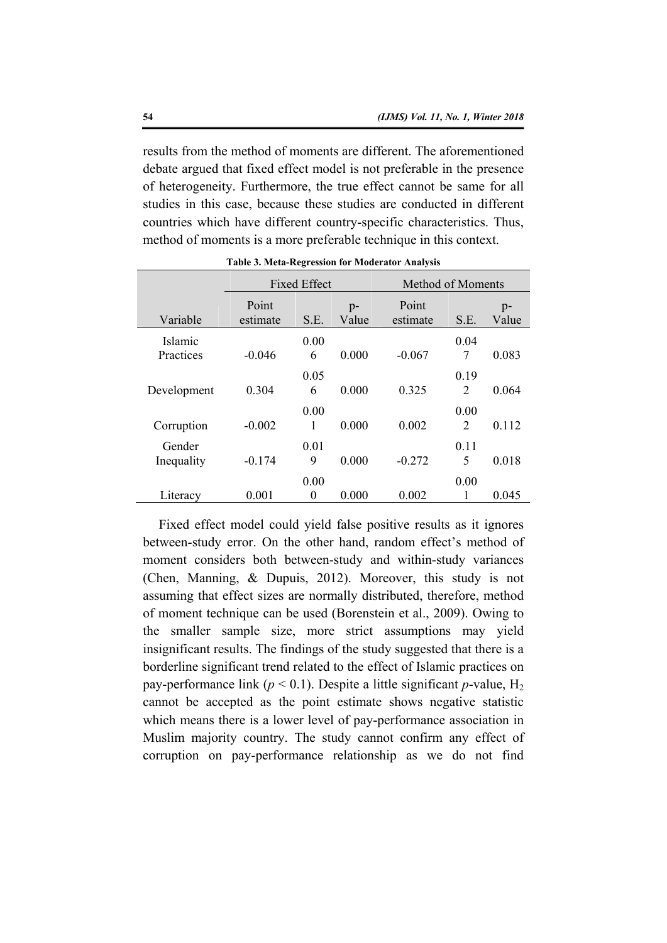results from the method of moments are different. The aforementioned debate argued that fixed effect model is not preferable in the presence of heterogeneity. Furthermore, the true effect cannot be same for all studies in this case, because these studies are conducted in different countries which have different country-specific characteristics. Thus, method of moments is a more preferable technique in this context.

|                      | <b>Fixed Effect</b> |           |               | Method of Moments |                        |               |  |
|----------------------|---------------------|-----------|---------------|-------------------|------------------------|---------------|--|
| Variable             | Point<br>estimate   | S.E.      | $p-$<br>Value | Point<br>estimate | S.E.                   | $p-$<br>Value |  |
| Islamic<br>Practices | $-0.046$            | 0.00<br>6 | 0.000         | $-0.067$          | 0.04<br>7              | 0.083         |  |
| Development          | 0.304               | 0.05<br>6 | 0.000         | 0.325             | 0.19<br>$\overline{2}$ | 0.064         |  |
| Corruption           | $-0.002$            | 0.00<br>1 | 0.000         | 0.002             | 0.00<br>$\overline{2}$ | 0.112         |  |
| Gender<br>Inequality | $-0.174$            | 0.01<br>9 | 0.000         | $-0.272$          | 0.11<br>5              | 0.018         |  |
| Literacy             | 0.001               | 0.00<br>0 | 0.000         | 0.002             | 0.00<br>1              | 0.045         |  |

**Table 3. Meta-Regression for Moderator Analysis** 

Fixed effect model could yield false positive results as it ignores between-study error. On the other hand, random effect's method of moment considers both between-study and within-study variances (Chen, Manning, & Dupuis, 2012). Moreover, this study is not assuming that effect sizes are normally distributed, therefore, method of moment technique can be used (Borenstein et al., 2009). Owing to the smaller sample size, more strict assumptions may yield insignificant results. The findings of the study suggested that there is a borderline significant trend related to the effect of Islamic practices on pay-performance link ( $p < 0.1$ ). Despite a little significant *p*-value,  $H_2$ cannot be accepted as the point estimate shows negative statistic which means there is a lower level of pay-performance association in Muslim majority country. The study cannot confirm any effect of corruption on pay-performance relationship as we do not find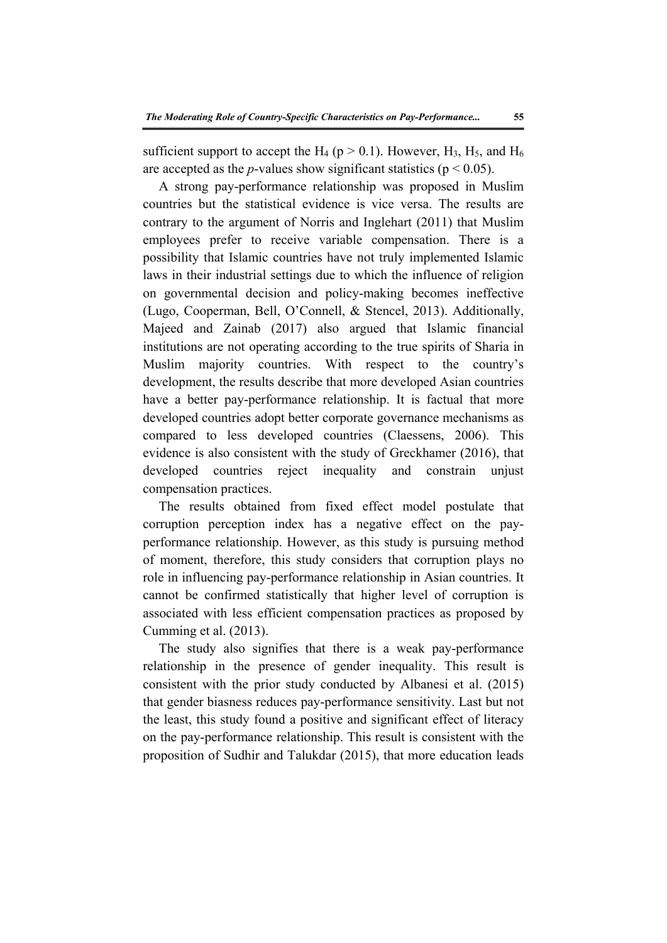sufficient support to accept the H<sub>4</sub> ( $p > 0.1$ ). However, H<sub>3</sub>, H<sub>5</sub>, and H<sub>6</sub> are accepted as the *p*-values show significant statistics ( $p < 0.05$ ).

A strong pay-performance relationship was proposed in Muslim countries but the statistical evidence is vice versa. The results are contrary to the argument of Norris and Inglehart (2011) that Muslim employees prefer to receive variable compensation. There is a possibility that Islamic countries have not truly implemented Islamic laws in their industrial settings due to which the influence of religion on governmental decision and policy-making becomes ineffective (Lugo, Cooperman, Bell, O'Connell, & Stencel, 2013). Additionally, Majeed and Zainab (2017) also argued that Islamic financial institutions are not operating according to the true spirits of Sharia in Muslim majority countries. With respect to the country's development, the results describe that more developed Asian countries have a better pay-performance relationship. It is factual that more developed countries adopt better corporate governance mechanisms as compared to less developed countries (Claessens, 2006). This evidence is also consistent with the study of Greckhamer (2016), that developed countries reject inequality and constrain unjust compensation practices.

The results obtained from fixed effect model postulate that corruption perception index has a negative effect on the payperformance relationship. However, as this study is pursuing method of moment, therefore, this study considers that corruption plays no role in influencing pay-performance relationship in Asian countries. It cannot be confirmed statistically that higher level of corruption is associated with less efficient compensation practices as proposed by Cumming et al. (2013).

The study also signifies that there is a weak pay-performance relationship in the presence of gender inequality. This result is consistent with the prior study conducted by Albanesi et al. (2015) that gender biasness reduces pay-performance sensitivity. Last but not the least, this study found a positive and significant effect of literacy on the pay-performance relationship. This result is consistent with the proposition of Sudhir and Talukdar (2015), that more education leads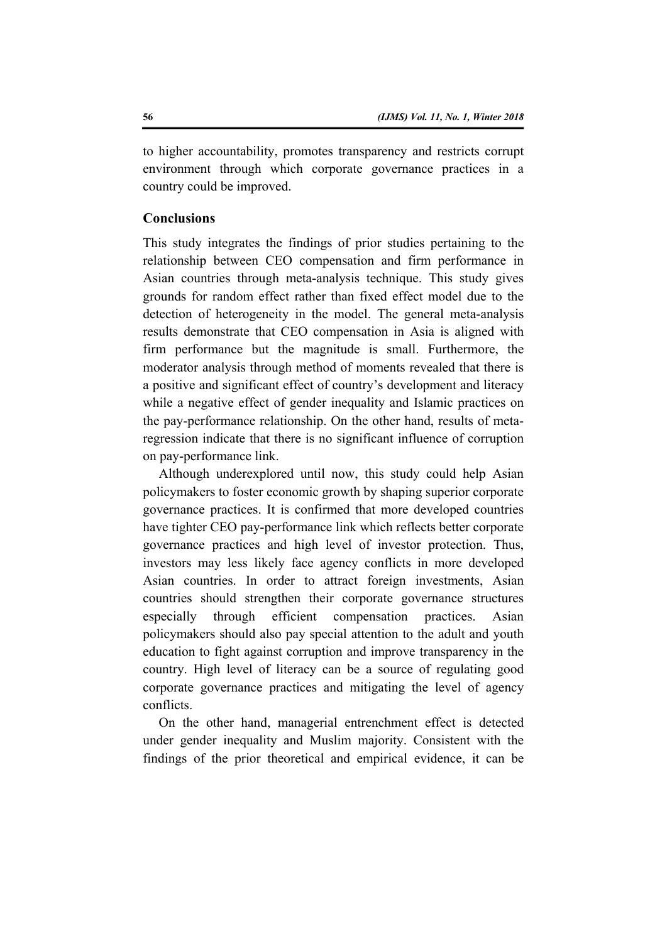to higher accountability, promotes transparency and restricts corrupt environment through which corporate governance practices in a country could be improved.

# **Conclusions**

This study integrates the findings of prior studies pertaining to the relationship between CEO compensation and firm performance in Asian countries through meta-analysis technique. This study gives grounds for random effect rather than fixed effect model due to the detection of heterogeneity in the model. The general meta-analysis results demonstrate that CEO compensation in Asia is aligned with firm performance but the magnitude is small. Furthermore, the moderator analysis through method of moments revealed that there is a positive and significant effect of country's development and literacy while a negative effect of gender inequality and Islamic practices on the pay-performance relationship. On the other hand, results of metaregression indicate that there is no significant influence of corruption on pay-performance link.

Although underexplored until now, this study could help Asian policymakers to foster economic growth by shaping superior corporate governance practices. It is confirmed that more developed countries have tighter CEO pay-performance link which reflects better corporate governance practices and high level of investor protection. Thus, investors may less likely face agency conflicts in more developed Asian countries. In order to attract foreign investments, Asian countries should strengthen their corporate governance structures especially through efficient compensation practices. Asian policymakers should also pay special attention to the adult and youth education to fight against corruption and improve transparency in the country. High level of literacy can be a source of regulating good corporate governance practices and mitigating the level of agency conflicts.

On the other hand, managerial entrenchment effect is detected under gender inequality and Muslim majority. Consistent with the findings of the prior theoretical and empirical evidence, it can be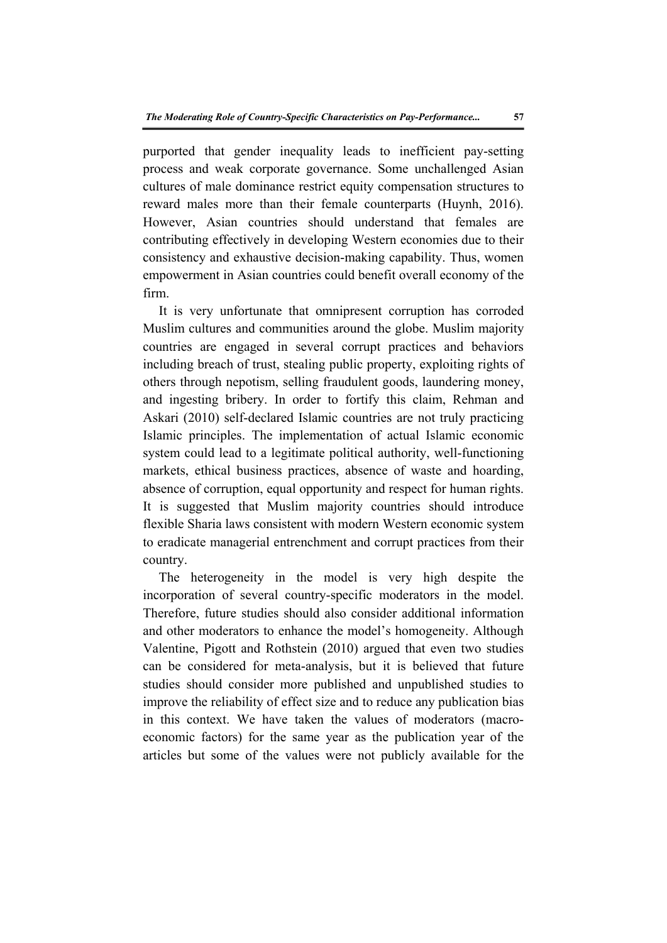purported that gender inequality leads to inefficient pay-setting process and weak corporate governance. Some unchallenged Asian cultures of male dominance restrict equity compensation structures to reward males more than their female counterparts (Huynh, 2016). However, Asian countries should understand that females are contributing effectively in developing Western economies due to their consistency and exhaustive decision-making capability. Thus, women empowerment in Asian countries could benefit overall economy of the firm.

It is very unfortunate that omnipresent corruption has corroded Muslim cultures and communities around the globe. Muslim majority countries are engaged in several corrupt practices and behaviors including breach of trust, stealing public property, exploiting rights of others through nepotism, selling fraudulent goods, laundering money, and ingesting bribery. In order to fortify this claim, Rehman and Askari (2010) self-declared Islamic countries are not truly practicing Islamic principles. The implementation of actual Islamic economic system could lead to a legitimate political authority, well-functioning markets, ethical business practices, absence of waste and hoarding, absence of corruption, equal opportunity and respect for human rights. It is suggested that Muslim majority countries should introduce flexible Sharia laws consistent with modern Western economic system to eradicate managerial entrenchment and corrupt practices from their country.

The heterogeneity in the model is very high despite the incorporation of several country-specific moderators in the model. Therefore, future studies should also consider additional information and other moderators to enhance the model's homogeneity. Although Valentine, Pigott and Rothstein (2010) argued that even two studies can be considered for meta-analysis, but it is believed that future studies should consider more published and unpublished studies to improve the reliability of effect size and to reduce any publication bias in this context. We have taken the values of moderators (macroeconomic factors) for the same year as the publication year of the articles but some of the values were not publicly available for the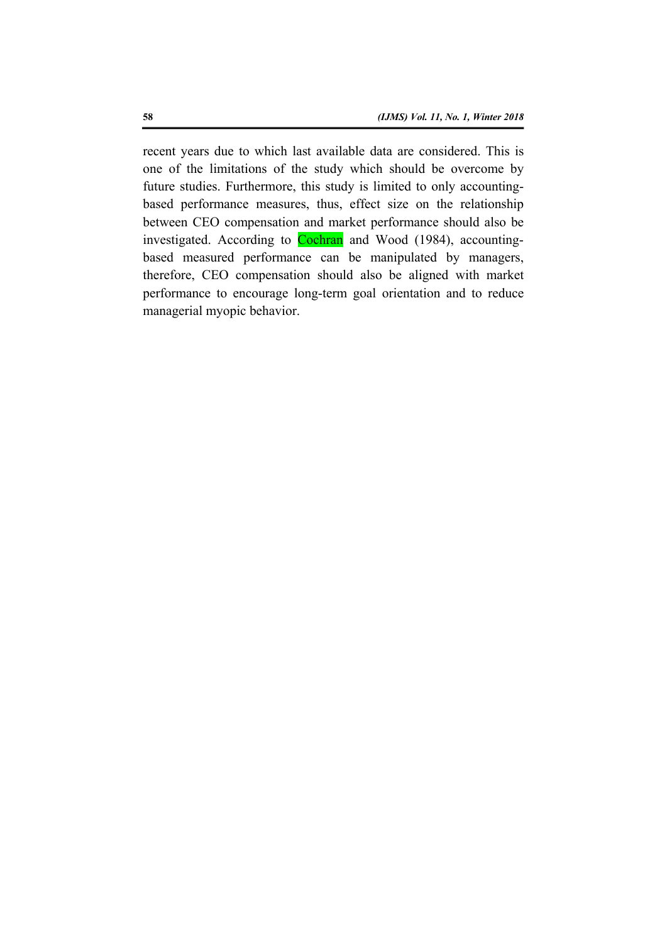recent years due to which last available data are considered. This is one of the limitations of the study which should be overcome by future studies. Furthermore, this study is limited to only accountingbased performance measures, thus, effect size on the relationship between CEO compensation and market performance should also be investigated. According to Cochran and Wood (1984), accountingbased measured performance can be manipulated by managers, therefore, CEO compensation should also be aligned with market performance to encourage long-term goal orientation and to reduce managerial myopic behavior.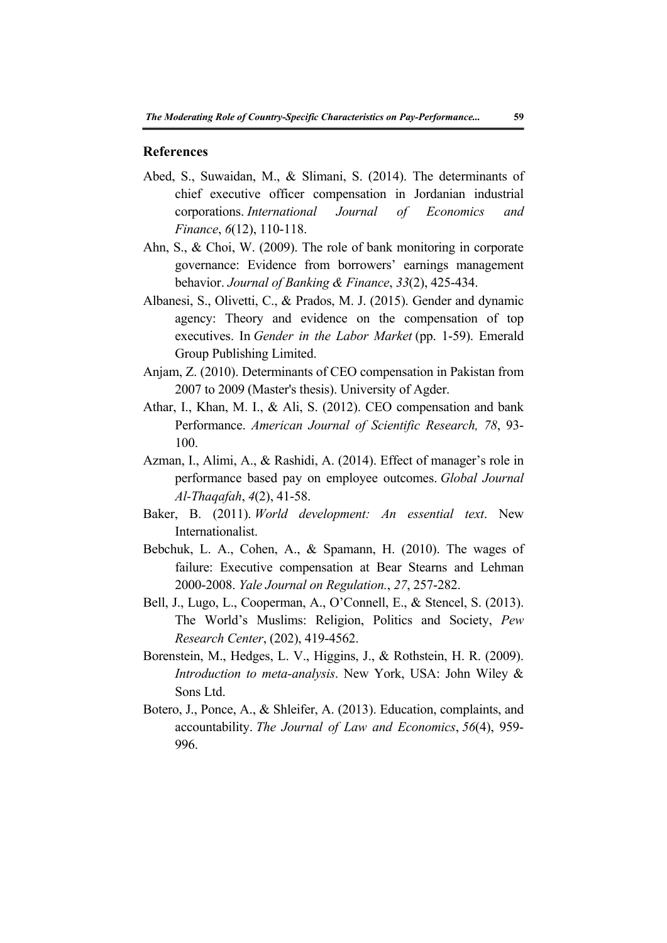#### **References**

- Abed, S., Suwaidan, M., & Slimani, S. (2014). The determinants of chief executive officer compensation in Jordanian industrial corporations. *International Journal of Economics and Finance*, *6*(12), 110-118.
- Ahn, S., & Choi, W. (2009). The role of bank monitoring in corporate governance: Evidence from borrowers' earnings management behavior. *Journal of Banking & Finance*, *33*(2), 425-434.
- Albanesi, S., Olivetti, C., & Prados, M. J. (2015). Gender and dynamic agency: Theory and evidence on the compensation of top executives. In *Gender in the Labor Market* (pp. 1-59). Emerald Group Publishing Limited.
- Anjam, Z. (2010). Determinants of CEO compensation in Pakistan from 2007 to 2009 (Master's thesis). University of Agder.
- Athar, I., Khan, M. I., & Ali, S. (2012). CEO compensation and bank Performance. *American Journal of Scientific Research, 78*, 93- 100.
- Azman, I., Alimi, A., & Rashidi, A. (2014). Effect of manager's role in performance based pay on employee outcomes. *Global Journal Al-Thaqafah*, *4*(2), 41-58.
- Baker, B. (2011). *World development: An essential text*. New Internationalist.
- Bebchuk, L. A., Cohen, A., & Spamann, H. (2010). The wages of failure: Executive compensation at Bear Stearns and Lehman 2000-2008. *Yale Journal on Regulation.*, *27*, 257-282.
- Bell, J., Lugo, L., Cooperman, A., O'Connell, E., & Stencel, S. (2013). The World's Muslims: Religion, Politics and Society, *Pew Research Center*, (202), 419-4562.
- Borenstein, M., Hedges, L. V., Higgins, J., & Rothstein, H. R. (2009). *Introduction to meta-analysis*. New York, USA: John Wiley & Sons Ltd.
- Botero, J., Ponce, A., & Shleifer, A. (2013). Education, complaints, and accountability. *The Journal of Law and Economics*, *56*(4), 959- 996.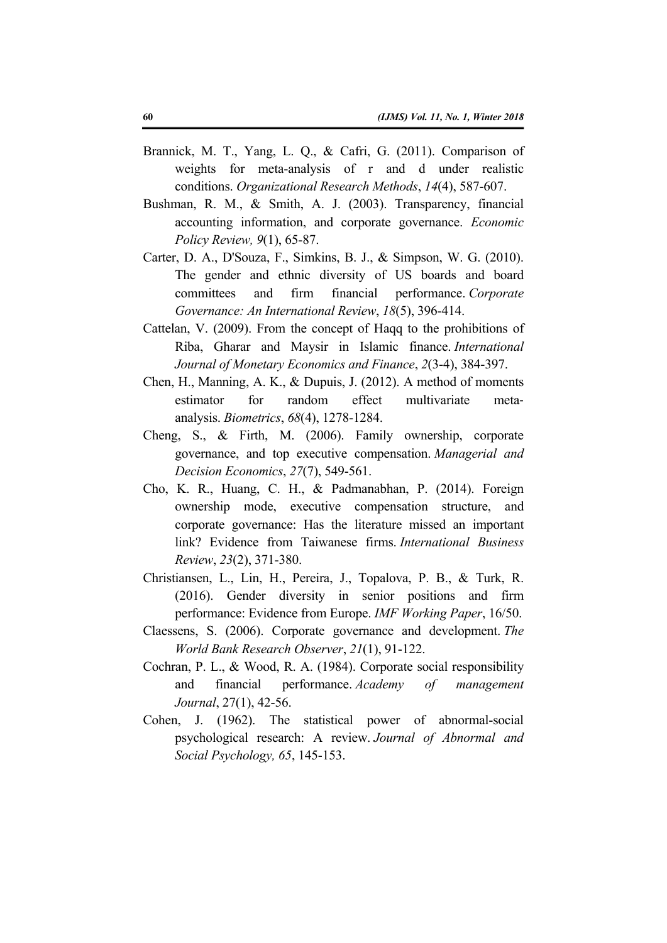- Brannick, M. T., Yang, L. Q., & Cafri, G. (2011). Comparison of weights for meta-analysis of r and d under realistic conditions. *Organizational Research Methods*, *14*(4), 587-607.
- Bushman, R. M., & Smith, A. J. (2003). Transparency, financial accounting information, and corporate governance. *Economic Policy Review, 9*(1), 65-87.
- Carter, D. A., D'Souza, F., Simkins, B. J., & Simpson, W. G. (2010). The gender and ethnic diversity of US boards and board committees and firm financial performance. *Corporate Governance: An International Review*, *18*(5), 396-414.
- Cattelan, V. (2009). From the concept of Haqq to the prohibitions of Riba, Gharar and Maysir in Islamic finance. *International Journal of Monetary Economics and Finance*, *2*(3-4), 384-397.
- Chen, H., Manning, A. K., & Dupuis, J. (2012). A method of moments estimator for random effect multivariate metaanalysis. *Biometrics*, *68*(4), 1278-1284.
- Cheng, S., & Firth, M. (2006). Family ownership, corporate governance, and top executive compensation. *Managerial and Decision Economics*, *27*(7), 549-561.
- Cho, K. R., Huang, C. H., & Padmanabhan, P. (2014). Foreign ownership mode, executive compensation structure, and corporate governance: Has the literature missed an important link? Evidence from Taiwanese firms. *International Business Review*, *23*(2), 371-380.
- Christiansen, L., Lin, H., Pereira, J., Topalova, P. B., & Turk, R. (2016). Gender diversity in senior positions and firm performance: Evidence from Europe. *IMF Working Paper*, 16/50.
- Claessens, S. (2006). Corporate governance and development. *The World Bank Research Observer*, *21*(1), 91-122.
- Cochran, P. L., & Wood, R. A. (1984). Corporate social responsibility and financial performance. *Academy of management Journal*, 27(1), 42-56.
- Cohen, J. (1962). The statistical power of abnormal-social psychological research: A review. *Journal of Abnormal and Social Psychology, 65*, 145-153.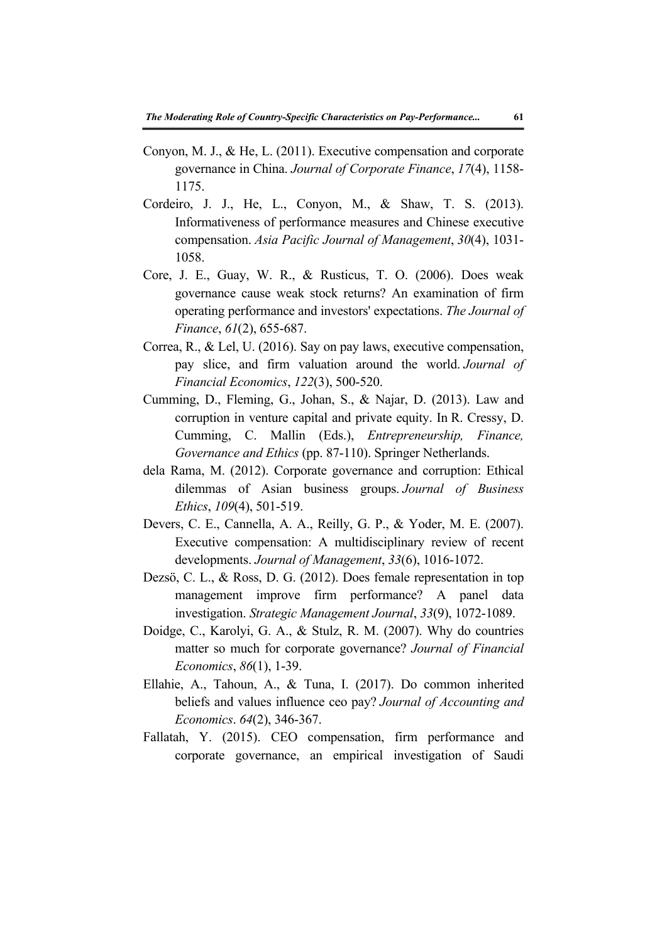- Conyon, M. J., & He, L. (2011). Executive compensation and corporate governance in China. *Journal of Corporate Finance*, *17*(4), 1158- 1175.
- Cordeiro, J. J., He, L., Conyon, M., & Shaw, T. S. (2013). Informativeness of performance measures and Chinese executive compensation. *Asia Pacific Journal of Management*, *30*(4), 1031- 1058.
- Core, J. E., Guay, W. R., & Rusticus, T. O. (2006). Does weak governance cause weak stock returns? An examination of firm operating performance and investors' expectations. *The Journal of Finance*, *61*(2), 655-687.
- Correa, R., & Lel, U. (2016). Say on pay laws, executive compensation, pay slice, and firm valuation around the world. *Journal of Financial Economics*, *122*(3), 500-520.
- Cumming, D., Fleming, G., Johan, S., & Najar, D. (2013). Law and corruption in venture capital and private equity. In R. Cressy, D. Cumming, C. Mallin (Eds.), *Entrepreneurship, Finance, Governance and Ethics* (pp. 87-110). Springer Netherlands.
- dela Rama, M. (2012). Corporate governance and corruption: Ethical dilemmas of Asian business groups. *Journal of Business Ethics*, *109*(4), 501-519.
- Devers, C. E., Cannella, A. A., Reilly, G. P., & Yoder, M. E. (2007). Executive compensation: A multidisciplinary review of recent developments. *Journal of Management*, *33*(6), 1016-1072.
- Dezsö, C. L., & Ross, D. G. (2012). Does female representation in top management improve firm performance? A panel data investigation. *Strategic Management Journal*, *33*(9), 1072-1089.
- Doidge, C., Karolyi, G. A., & Stulz, R. M. (2007). Why do countries matter so much for corporate governance? *Journal of Financial Economics*, *86*(1), 1-39.
- Ellahie, A., Tahoun, A., & Tuna, I. (2017). Do common inherited beliefs and values influence ceo pay? *Journal of Accounting and Economics*. *64*(2), 346-367.
- Fallatah, Y. (2015). CEO compensation, firm performance and corporate governance, an empirical investigation of Saudi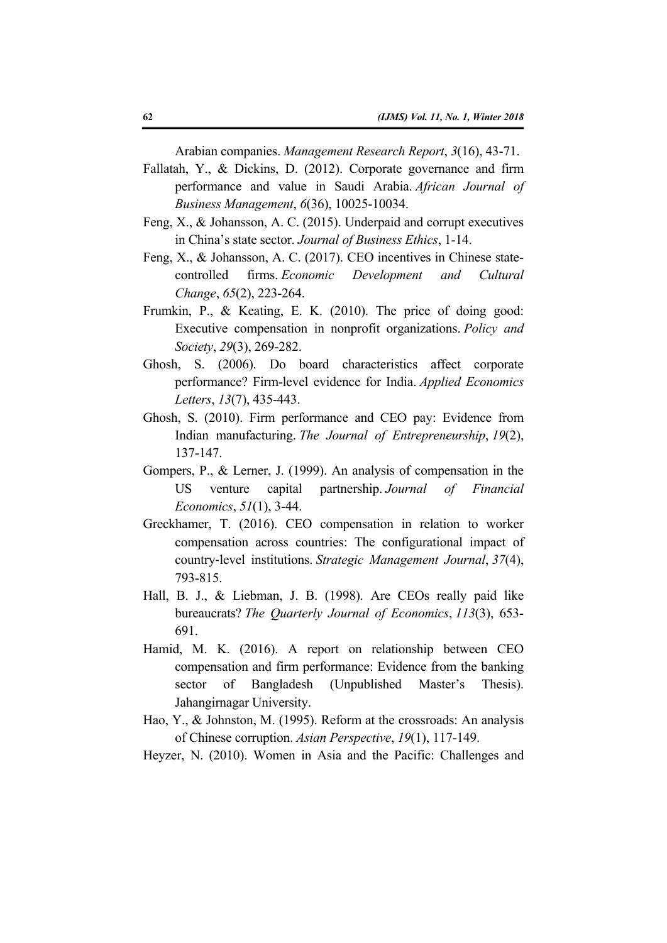Arabian companies. *Management Research Report*, *3*(16), 43-71.

- Fallatah, Y., & Dickins, D. (2012). Corporate governance and firm performance and value in Saudi Arabia. *African Journal of Business Management*, *6*(36), 10025-10034.
- Feng, X., & Johansson, A. C. (2015). Underpaid and corrupt executives in China's state sector. *Journal of Business Ethics*, 1-14.
- Feng, X., & Johansson, A. C. (2017). CEO incentives in Chinese statecontrolled firms. *Economic Development and Cultural Change*, *65*(2), 223-264.
- Frumkin, P., & Keating, E. K. (2010). The price of doing good: Executive compensation in nonprofit organizations. *Policy and Society*, *29*(3), 269-282.
- Ghosh, S. (2006). Do board characteristics affect corporate performance? Firm-level evidence for India. *Applied Economics Letters*, *13*(7), 435-443.
- Ghosh, S. (2010). Firm performance and CEO pay: Evidence from Indian manufacturing. *The Journal of Entrepreneurship*, *19*(2), 137-147.
- Gompers, P., & Lerner, J. (1999). An analysis of compensation in the US venture capital partnership. *Journal of Financial Economics*, *51*(1), 3-44.
- Greckhamer, T. (2016). CEO compensation in relation to worker compensation across countries: The configurational impact of country‐level institutions. *Strategic Management Journal*, *37*(4), 793-815.
- Hall, B. J., & Liebman, J. B. (1998). Are CEOs really paid like bureaucrats? *The Quarterly Journal of Economics*, *113*(3), 653- 691.
- Hamid, M. K. (2016). A report on relationship between CEO compensation and firm performance: Evidence from the banking sector of Bangladesh (Unpublished Master's Thesis). Jahangirnagar University.
- Hao, Y., & Johnston, M. (1995). Reform at the crossroads: An analysis of Chinese corruption. *Asian Perspective*, *19*(1), 117-149.
- Heyzer, N. (2010). Women in Asia and the Pacific: Challenges and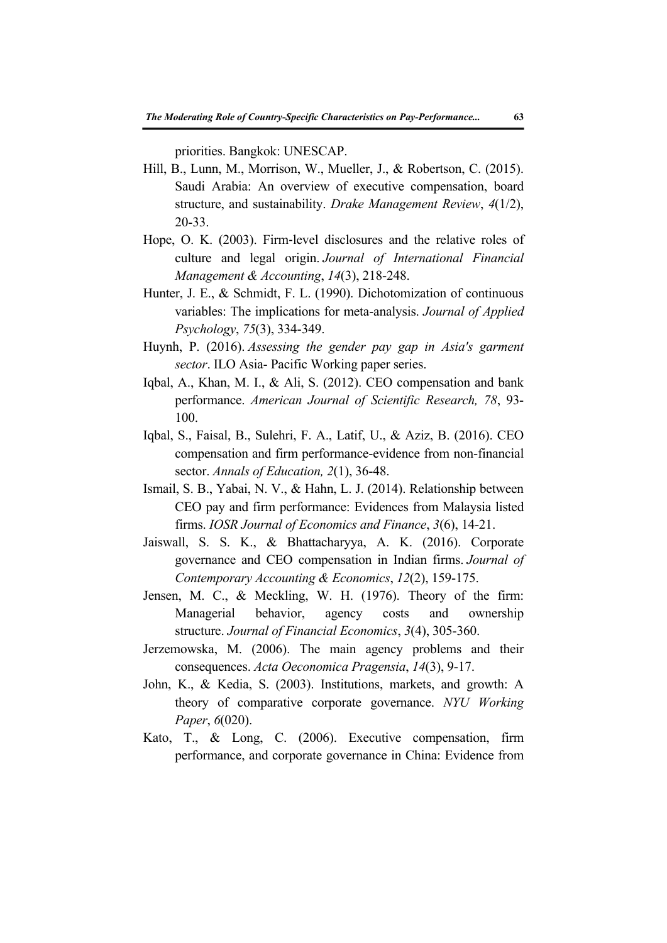priorities. Bangkok: UNESCAP.

- Hill, B., Lunn, M., Morrison, W., Mueller, J., & Robertson, C. (2015). Saudi Arabia: An overview of executive compensation, board structure, and sustainability. *Drake Management Review*, *4*(1/2), 20-33.
- Hope, O. K. (2003). Firm‐level disclosures and the relative roles of culture and legal origin. *Journal of International Financial Management & Accounting*, *14*(3), 218-248.
- Hunter, J. E., & Schmidt, F. L. (1990). Dichotomization of continuous variables: The implications for meta-analysis. *Journal of Applied Psychology*, *75*(3), 334-349.
- Huynh, P. (2016). *Assessing the gender pay gap in Asia's garment sector*. ILO Asia- Pacific Working paper series.
- Iqbal, A., Khan, M. I., & Ali, S. (2012). CEO compensation and bank performance. *American Journal of Scientific Research, 78*, 93- 100.
- Iqbal, S., Faisal, B., Sulehri, F. A., Latif, U., & Aziz, B. (2016). CEO compensation and firm performance-evidence from non-financial sector. *Annals of Education, 2*(1), 36-48.
- Ismail, S. B., Yabai, N. V., & Hahn, L. J. (2014). Relationship between CEO pay and firm performance: Evidences from Malaysia listed firms. *IOSR Journal of Economics and Finance*, *3*(6), 14-21.
- Jaiswall, S. S. K., & Bhattacharyya, A. K. (2016). Corporate governance and CEO compensation in Indian firms. *Journal of Contemporary Accounting & Economics*, *12*(2), 159-175.
- Jensen, M. C., & Meckling, W. H. (1976). Theory of the firm: Managerial behavior, agency costs and ownership structure. *Journal of Financial Economics*, *3*(4), 305-360.
- Jerzemowska, M. (2006). The main agency problems and their consequences. *Acta Oeconomica Pragensia*, *14*(3), 9-17.
- John, K., & Kedia, S. (2003). Institutions, markets, and growth: A theory of comparative corporate governance. *NYU Working Paper*, *6*(020).
- Kato, T., & Long, C. (2006). Executive compensation, firm performance, and corporate governance in China: Evidence from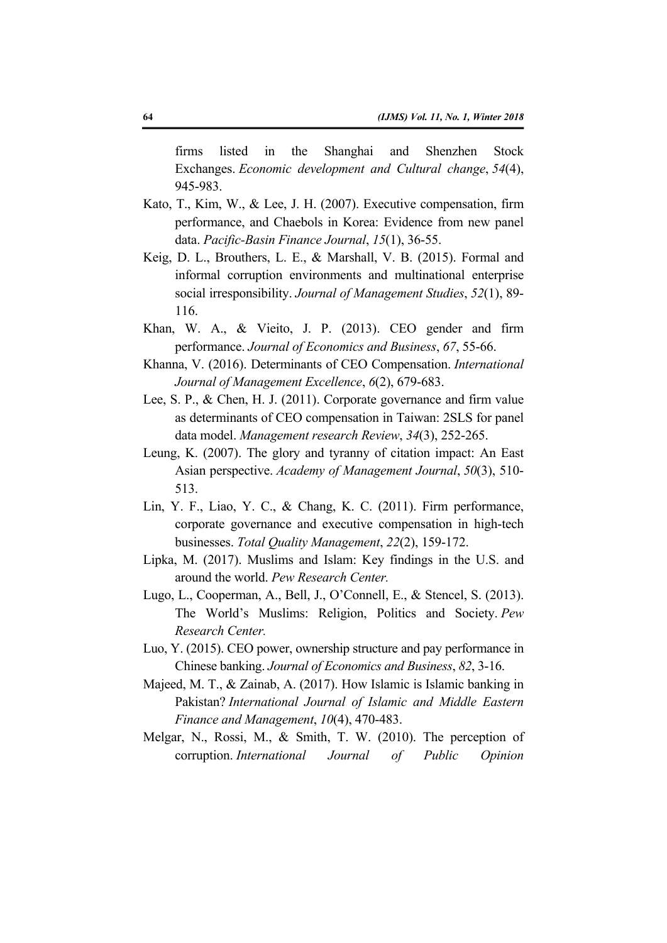firms listed in the Shanghai and Shenzhen Stock Exchanges. *Economic development and Cultural change*, *54*(4), 945-983.

- Kato, T., Kim, W., & Lee, J. H. (2007). Executive compensation, firm performance, and Chaebols in Korea: Evidence from new panel data. *Pacific-Basin Finance Journal*, *15*(1), 36-55.
- Keig, D. L., Brouthers, L. E., & Marshall, V. B. (2015). Formal and informal corruption environments and multinational enterprise social irresponsibility. *Journal of Management Studies*, *52*(1), 89- 116.
- Khan, W. A., & Vieito, J. P. (2013). CEO gender and firm performance. *Journal of Economics and Business*, *67*, 55-66.
- Khanna, V. (2016). Determinants of CEO Compensation. *International Journal of Management Excellence*, *6*(2), 679-683.
- Lee, S. P., & Chen, H. J. (2011). Corporate governance and firm value as determinants of CEO compensation in Taiwan: 2SLS for panel data model. *Management research Review*, *34*(3), 252-265.
- Leung, K. (2007). The glory and tyranny of citation impact: An East Asian perspective. *Academy of Management Journal*, *50*(3), 510- 513.
- Lin, Y. F., Liao, Y. C., & Chang, K. C. (2011). Firm performance, corporate governance and executive compensation in high-tech businesses. *Total Quality Management*, *22*(2), 159-172.
- Lipka, M. (2017). Muslims and Islam: Key findings in the U.S. and around the world. *Pew Research Center.*
- Lugo, L., Cooperman, A., Bell, J., O'Connell, E., & Stencel, S. (2013). The World's Muslims: Religion, Politics and Society. *Pew Research Center.*
- Luo, Y. (2015). CEO power, ownership structure and pay performance in Chinese banking. *Journal of Economics and Business*, *82*, 3-16.
- Majeed, M. T., & Zainab, A. (2017). How Islamic is Islamic banking in Pakistan? *International Journal of Islamic and Middle Eastern Finance and Management*, *10*(4), 470-483.
- Melgar, N., Rossi, M., & Smith, T. W. (2010). The perception of corruption. *International Journal of Public Opinion*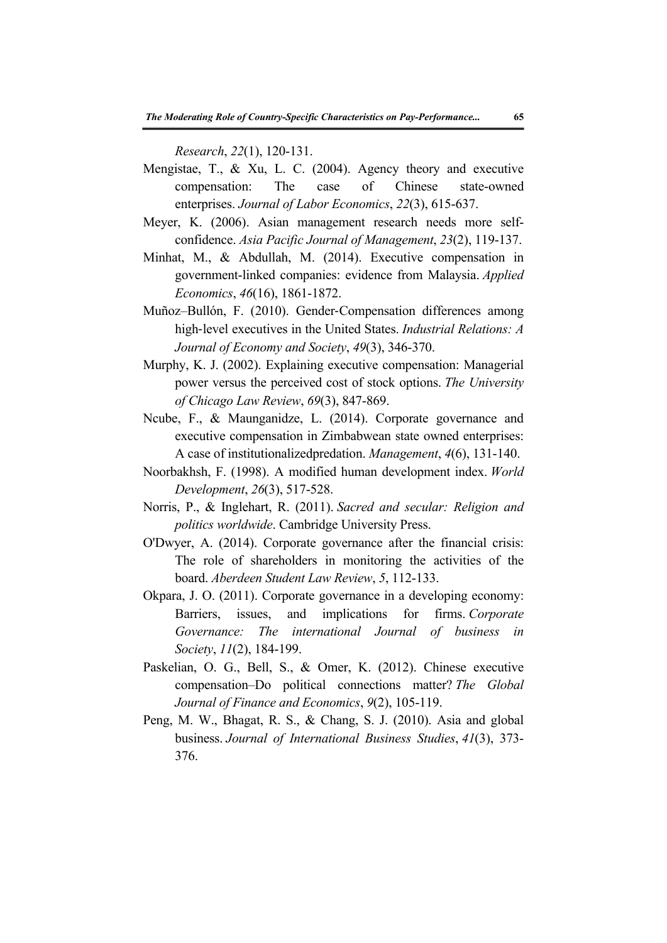*Research*, *22*(1), 120-131.

- Mengistae, T., & Xu, L. C. (2004). Agency theory and executive compensation: The case of Chinese state-owned enterprises. *Journal of Labor Economics*, *22*(3), 615-637.
- Meyer, K. (2006). Asian management research needs more selfconfidence. *Asia Pacific Journal of Management*, *23*(2), 119-137.
- Minhat, M., & Abdullah, M. (2014). Executive compensation in government-linked companies: evidence from Malaysia. *Applied Economics*, *46*(16), 1861-1872.
- Muñoz–Bullón, F. (2010). Gender‐Compensation differences among high‐level executives in the United States. *Industrial Relations: A Journal of Economy and Society*, *49*(3), 346-370.
- Murphy, K. J. (2002). Explaining executive compensation: Managerial power versus the perceived cost of stock options. *The University of Chicago Law Review*, *69*(3), 847-869.
- Ncube, F., & Maunganidze, L. (2014). Corporate governance and executive compensation in Zimbabwean state owned enterprises: A case of institutionalizedpredation. *Management*, *4*(6), 131-140.
- Noorbakhsh, F. (1998). A modified human development index. *World Development*, *26*(3), 517-528.
- Norris, P., & Inglehart, R. (2011). *Sacred and secular: Religion and politics worldwide*. Cambridge University Press.
- O'Dwyer, A. (2014). Corporate governance after the financial crisis: The role of shareholders in monitoring the activities of the board. *Aberdeen Student Law Review*, *5*, 112-133.
- Okpara, J. O. (2011). Corporate governance in a developing economy: Barriers, issues, and implications for firms. *Corporate Governance: The international Journal of business in Society*, *11*(2), 184-199.
- Paskelian, O. G., Bell, S., & Omer, K. (2012). Chinese executive compensation–Do political connections matter? *The Global Journal of Finance and Economics*, *9*(2), 105-119.
- Peng, M. W., Bhagat, R. S., & Chang, S. J. (2010). Asia and global business. *Journal of International Business Studies*, *41*(3), 373- 376.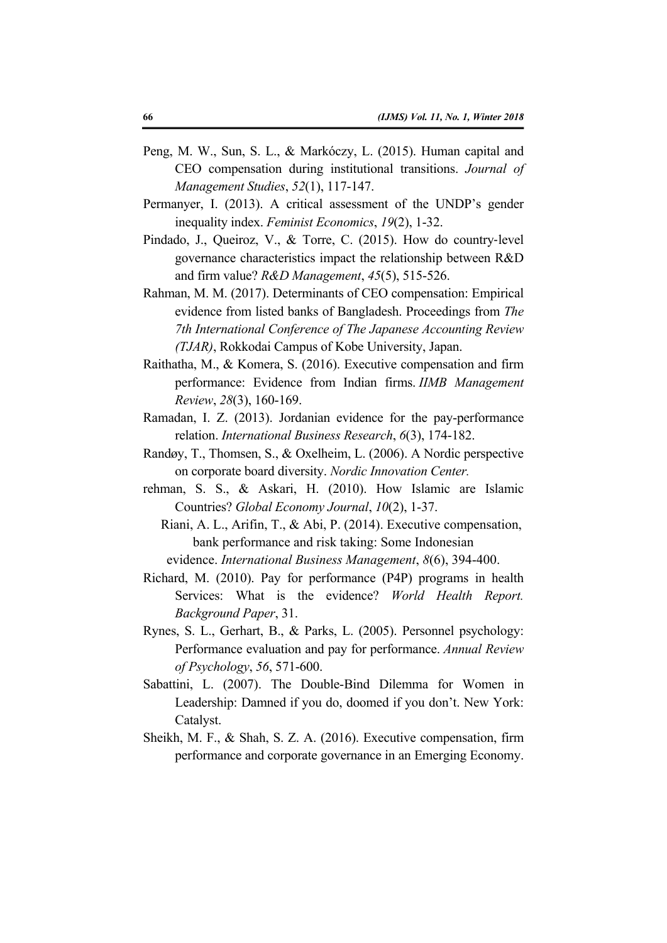- Peng, M. W., Sun, S. L., & Markóczy, L. (2015). Human capital and CEO compensation during institutional transitions. *Journal of Management Studies*, *52*(1), 117-147.
- Permanyer, I. (2013). A critical assessment of the UNDP's gender inequality index. *Feminist Economics*, *19*(2), 1-32.
- Pindado, J., Queiroz, V., & Torre, C. (2015). How do country‐level governance characteristics impact the relationship between R&D and firm value? *R&D Management*, *45*(5), 515-526.
- Rahman, M. M. (2017). Determinants of CEO compensation: Empirical evidence from listed banks of Bangladesh. Proceedings from *The 7th International Conference of The Japanese Accounting Review (TJAR)*, Rokkodai Campus of Kobe University, Japan.
- Raithatha, M., & Komera, S. (2016). Executive compensation and firm performance: Evidence from Indian firms. *IIMB Management Review*, *28*(3), 160-169.
- Ramadan, I. Z. (2013). Jordanian evidence for the pay-performance relation. *International Business Research*, *6*(3), 174-182.
- Randøy, T., Thomsen, S., & Oxelheim, L. (2006). A Nordic perspective on corporate board diversity. *Nordic Innovation Center.*
- rehman, S. S., & Askari, H. (2010). How Islamic are Islamic Countries? *Global Economy Journal*, *10*(2), 1-37.
	- Riani, A. L., Arifin, T., & Abi, P. (2014). Executive compensation, bank performance and risk taking: Some Indonesian evidence. *International Business Management*, *8*(6), 394-400.
- Richard, M. (2010). Pay for performance (P4P) programs in health Services: What is the evidence? *World Health Report. Background Paper*, 31.
- Rynes, S. L., Gerhart, B., & Parks, L. (2005). Personnel psychology: Performance evaluation and pay for performance. *Annual Review of Psychology*, *56*, 571-600.
- Sabattini, L. (2007). The Double-Bind Dilemma for Women in Leadership: Damned if you do, doomed if you don't. New York: Catalyst.
- Sheikh, M. F., & Shah, S. Z. A. (2016). Executive compensation, firm performance and corporate governance in an Emerging Economy.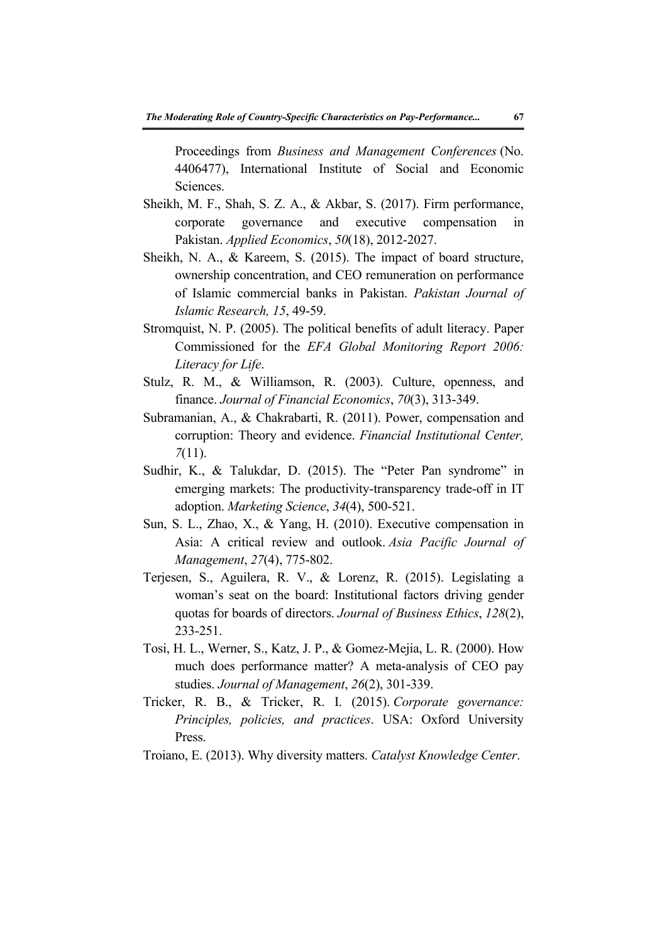Proceedings from *Business and Management Conferences* (No. 4406477), International Institute of Social and Economic Sciences.

- Sheikh, M. F., Shah, S. Z. A., & Akbar, S. (2017). Firm performance, corporate governance and executive compensation in Pakistan. *Applied Economics*, *50*(18), 2012-2027.
- Sheikh, N. A., & Kareem, S. (2015). The impact of board structure, ownership concentration, and CEO remuneration on performance of Islamic commercial banks in Pakistan. *Pakistan Journal of Islamic Research, 15*, 49-59.
- Stromquist, N. P. (2005). The political benefits of adult literacy. Paper Commissioned for the *EFA Global Monitoring Report 2006: Literacy for Life*.
- Stulz, R. M., & Williamson, R. (2003). Culture, openness, and finance. *Journal of Financial Economics*, *70*(3), 313-349.
- Subramanian, A., & Chakrabarti, R. (2011). Power, compensation and corruption: Theory and evidence. *Financial Institutional Center, 7*(11).
- Sudhir, K., & Talukdar, D. (2015). The "Peter Pan syndrome" in emerging markets: The productivity-transparency trade-off in IT adoption. *Marketing Science*, *34*(4), 500-521.
- Sun, S. L., Zhao, X., & Yang, H. (2010). Executive compensation in Asia: A critical review and outlook. *Asia Pacific Journal of Management*, *27*(4), 775-802.
- Terjesen, S., Aguilera, R. V., & Lorenz, R. (2015). Legislating a woman's seat on the board: Institutional factors driving gender quotas for boards of directors. *Journal of Business Ethics*, *128*(2), 233-251.
- Tosi, H. L., Werner, S., Katz, J. P., & Gomez-Mejia, L. R. (2000). How much does performance matter? A meta-analysis of CEO pay studies. *Journal of Management*, *26*(2), 301-339.
- Tricker, R. B., & Tricker, R. I. (2015). *Corporate governance: Principles, policies, and practices*. USA: Oxford University Press.
- Troiano, E. (2013). Why diversity matters. *Catalyst Knowledge Center*.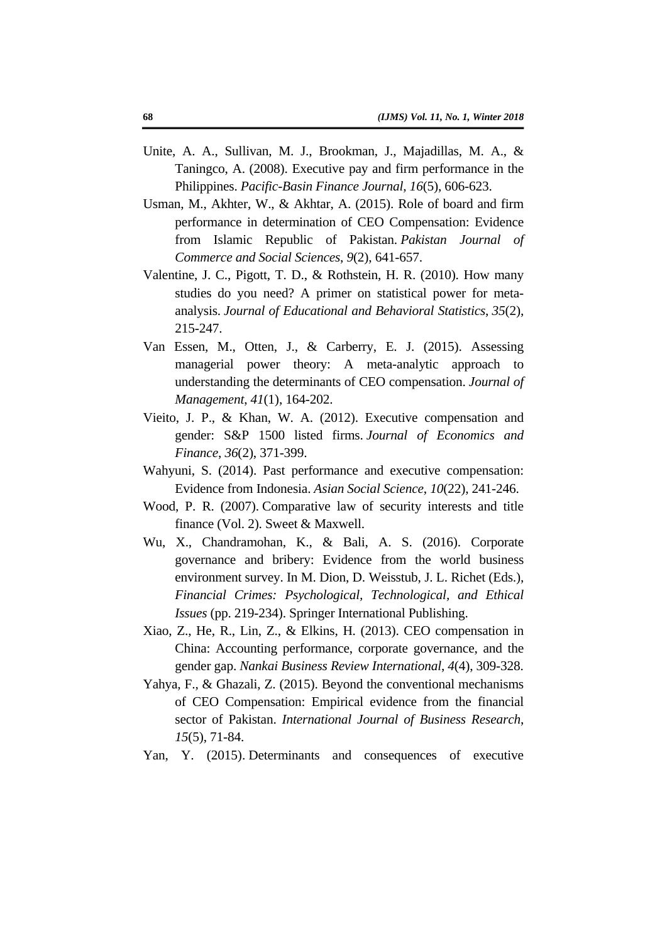- Unite, A. A., Sullivan, M. J., Brookman, J., Majadillas, M. A., & Taningco, A. (2008). Executive pay and firm performance in the Philippines. *Pacific-Basin Finance Journal*, *16*(5), 606-623.
- Usman, M., Akhter, W., & Akhtar, A. (2015). Role of board and firm performance in determination of CEO Compensation: Evidence from Islamic Republic of Pakistan. *Pakistan Journal of Commerce and Social Sciences*, *9*(2), 641-657.
- Valentine, J. C., Pigott, T. D., & Rothstein, H. R. (2010). How many studies do you need? A primer on statistical power for metaanalysis. *Journal of Educational and Behavioral Statistics*, *35*(2), 215-247.
- Van Essen, M., Otten, J., & Carberry, E. J. (2015). Assessing managerial power theory: A meta-analytic approach to understanding the determinants of CEO compensation. *Journal of Management*, *41*(1), 164-202.
- Vieito, J. P., & Khan, W. A. (2012). Executive compensation and gender: S&P 1500 listed firms. *Journal of Economics and Finance*, *36*(2), 371-399.
- Wahyuni, S. (2014). Past performance and executive compensation: Evidence from Indonesia. *Asian Social Science*, *10*(22), 241-246.
- Wood, P. R. (2007). Comparative law of security interests and title finance (Vol. 2). Sweet & Maxwell.
- Wu, X., Chandramohan, K., & Bali, A. S. (2016). Corporate governance and bribery: Evidence from the world business environment survey. In M. Dion, D. Weisstub, J. L. Richet (Eds.), *Financial Crimes: Psychological, Technological, and Ethical Issues* (pp. 219-234). Springer International Publishing.
- Xiao, Z., He, R., Lin, Z., & Elkins, H. (2013). CEO compensation in China: Accounting performance, corporate governance, and the gender gap. *Nankai Business Review International*, *4*(4), 309-328.
- Yahya, F., & Ghazali, Z. (2015). Beyond the conventional mechanisms of CEO Compensation: Empirical evidence from the financial sector of Pakistan. *International Journal of Business Research*, *15*(5), 71-84.
- Yan, Y. (2015). Determinants and consequences of executive